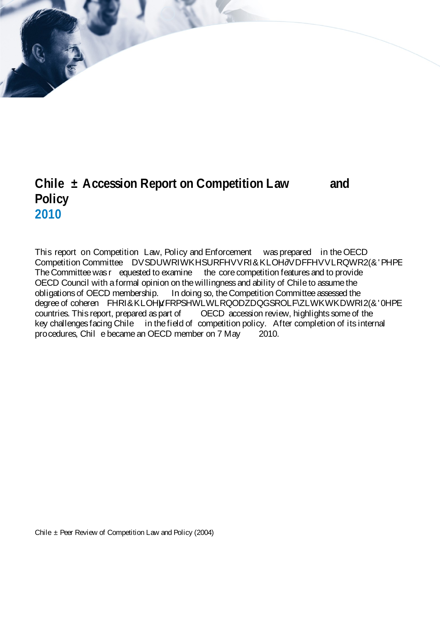### **Chile** ±**Accession Report on Competition Law and Policy 2010**

This report on Competition Law, Policy and Enforcement was prepared in the OECD Competition Committee DV SDUW RI WKH SURFHVV RI & KLOH¶V The Committee was requested to examine the core competition features and to provide OECD Council with a formal opinion on the willingness and ability of Chile to assume the obligations of OECD membership. In doing so, the Competition Committee assessed the degree of coheren FHRI & KLOHµVFRPSHWLWLRQ ODZDQGSR( countries. This report, prepared as part of OECD accession review, highlights some of the key challenges facing Chile in the field of competition policy. After completion of its internal procedures, Chile became an OECD member on 7 May 2010.

Chile ±Peer Review of Competition Law and Policy (2004)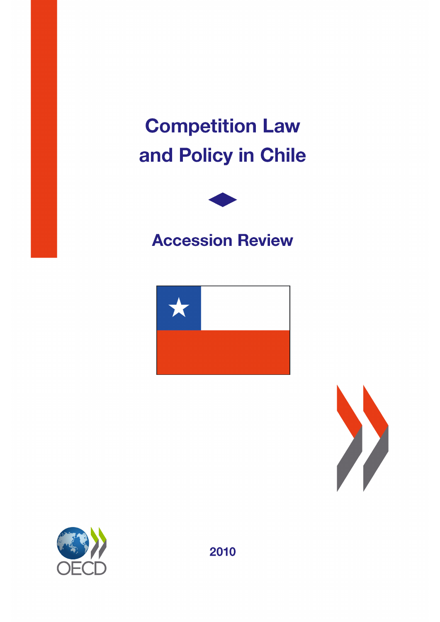# **Competition Law** and Policy in Chile



# **Accession Review**







2010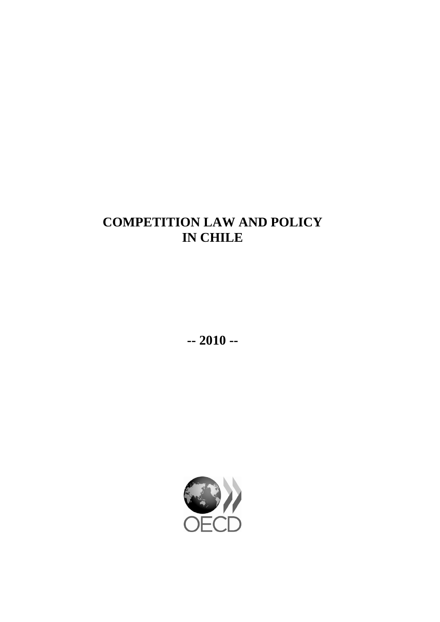## **COMPETITION LAW AND POLICY IN CHILE**

**-- 2010 --**

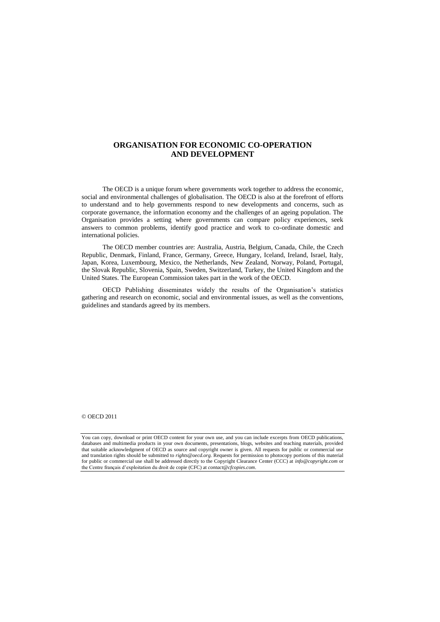#### **ORGANISATION FOR ECONOMIC CO-OPERATION AND DEVELOPMENT**

The OECD is a unique forum where governments work together to address the economic, social and environmental challenges of globalisation. The OECD is also at the forefront of efforts to understand and to help governments respond to new developments and concerns, such as corporate governance, the information economy and the challenges of an ageing population. The Organisation provides a setting where governments can compare policy experiences, seek answers to common problems, identify good practice and work to co-ordinate domestic and international policies.

The OECD member countries are: Australia, Austria, Belgium, Canada, Chile, the Czech Republic, Denmark, Finland, France, Germany, Greece, Hungary, Iceland, Ireland, Israel, Italy, Japan, Korea, Luxembourg, Mexico, the Netherlands, New Zealand, Norway, Poland, Portugal, the Slovak Republic, Slovenia, Spain, Sweden, Switzerland, Turkey, the United Kingdom and the United States. The European Commission takes part in the work of the OECD.

OECD Publishing disseminates widely the results of the Organisation"s statistics gathering and research on economic, social and environmental issues, as well as the conventions, guidelines and standards agreed by its members.

© OECD 2011

You can copy, download or print OECD content for your own use, and you can include excerpts from OECD publications, databases and multimedia products in your own documents, presentations, blogs, websites and teaching materials, provided that suitable acknowledgment of OECD as source and copyright owner is given. All requests for public or commercial use and translation rights should be submitted to *rights@oecd.org.* Requests for permission to photocopy portions of this material for public or commercial use shall be addressed directly to the Copyright Clearance Center (CCC) at *info@copyright.com* or the Centre français d"exploitation du droit de copie (CFC) at *contact@cfcopies.com*.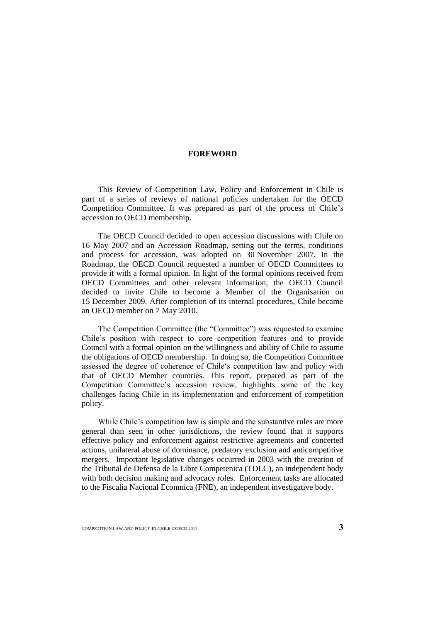#### **FOREWORD**

This Review of Competition Law, Policy and Enforcement in Chile is part of a series of reviews of national policies undertaken for the OECD Competition Committee. It was prepared as part of the process of Chile"s accession to OECD membership.

The OECD Council decided to open accession discussions with Chile on 16 May 2007 and an Accession Roadmap, setting out the terms, conditions and process for accession, was adopted on 30 November 2007. In the Roadmap, the OECD Council requested a number of OECD Committees to provide it with a formal opinion. In light of the formal opinions received from OECD Committees and other relevant information, the OECD Council decided to invite Chile to become a Member of the Organisation on 15 December 2009. After completion of its internal procedures, Chile became an OECD member on 7 May 2010.

The Competition Committee (the "Committee") was requested to examine Chile"s position with respect to core competition features and to provide Council with a formal opinion on the willingness and ability of Chile to assume the obligations of OECD membership. In doing so, the Competition Committee assessed the degree of coherence of Chile"s competition law and policy with that of OECD Member countries. This report, prepared as part of the Competition Committee"s accession review, highlights some of the key challenges facing Chile in its implementation and enforcement of competition policy.

While Chile's competition law is simple and the substantive rules are more general than seen in other jurisdictions, the review found that it supports effective policy and enforcement against restrictive agreements and concerted actions, unilateral abuse of dominance, predatory exclusion and anticompetitive mergers. Important legislative changes occurred in 2003 with the creation of the Tribunal de Defensa de la Libre Competenica (TDLC), an independent body with both decision making and advocacy roles. Enforcement tasks are allocated to the Fiscalia Nacional Econmica (FNE), an independent investigative body.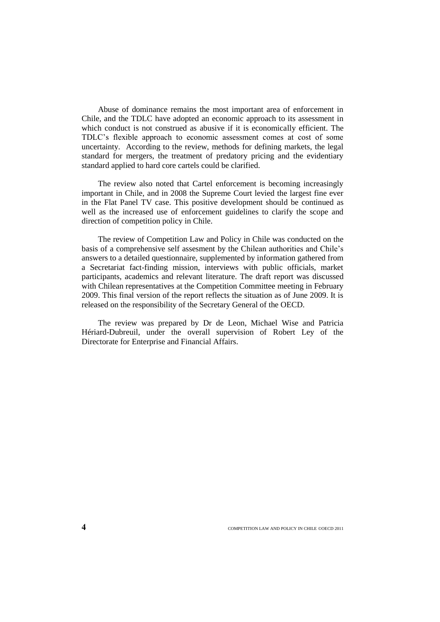Abuse of dominance remains the most important area of enforcement in Chile, and the TDLC have adopted an economic approach to its assessment in which conduct is not construed as abusive if it is economically efficient. The TDLC"s flexible approach to economic assessment comes at cost of some uncertainty. According to the review, methods for defining markets, the legal standard for mergers, the treatment of predatory pricing and the evidentiary standard applied to hard core cartels could be clarified.

The review also noted that Cartel enforcement is becoming increasingly important in Chile, and in 2008 the Supreme Court levied the largest fine ever in the Flat Panel TV case. This positive development should be continued as well as the increased use of enforcement guidelines to clarify the scope and direction of competition policy in Chile.

The review of Competition Law and Policy in Chile was conducted on the basis of a comprehensive self assesment by the Chilean authorities and Chile"s answers to a detailed questionnaire, supplemented by information gathered from a Secretariat fact-finding mission, interviews with public officials, market participants, academics and relevant literature. The draft report was discussed with Chilean representatives at the Competition Committee meeting in February 2009. This final version of the report reflects the situation as of June 2009. It is released on the responsibility of the Secretary General of the OECD.

The review was prepared by Dr de Leon, Michael Wise and Patricia Hériard-Dubreuil, under the overall supervision of Robert Ley of the Directorate for Enterprise and Financial Affairs.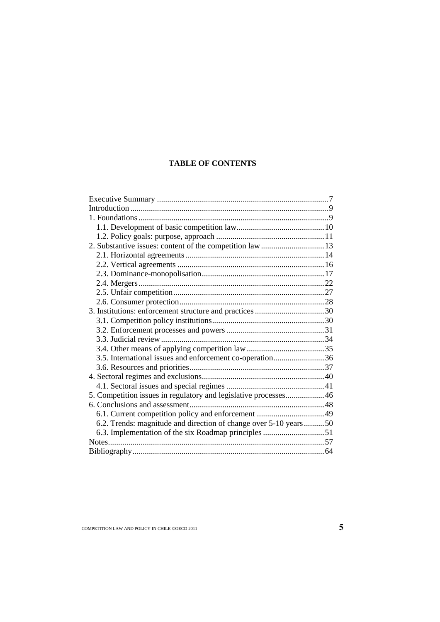#### **TABLE OF CONTENTS**

| 2. Substantive issues: content of the competition law  13        |  |
|------------------------------------------------------------------|--|
|                                                                  |  |
|                                                                  |  |
|                                                                  |  |
|                                                                  |  |
|                                                                  |  |
|                                                                  |  |
|                                                                  |  |
|                                                                  |  |
|                                                                  |  |
|                                                                  |  |
|                                                                  |  |
| 3.5. International issues and enforcement co-operation36         |  |
|                                                                  |  |
|                                                                  |  |
|                                                                  |  |
| 5. Competition issues in regulatory and legislative processes46  |  |
|                                                                  |  |
|                                                                  |  |
| 6.2. Trends: magnitude and direction of change over 5-10 years50 |  |
| 6.3. Implementation of the six Roadmap principles 51             |  |
|                                                                  |  |
|                                                                  |  |
|                                                                  |  |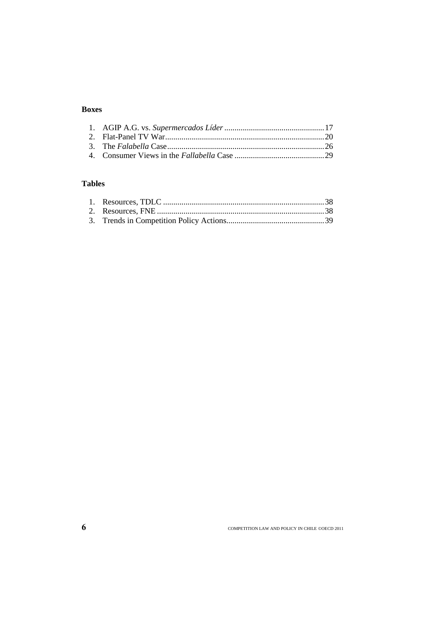#### **Boxes**

#### **Tables**

**6** COMPETITION LAW AND POLICY IN CHILE ©OECD 2011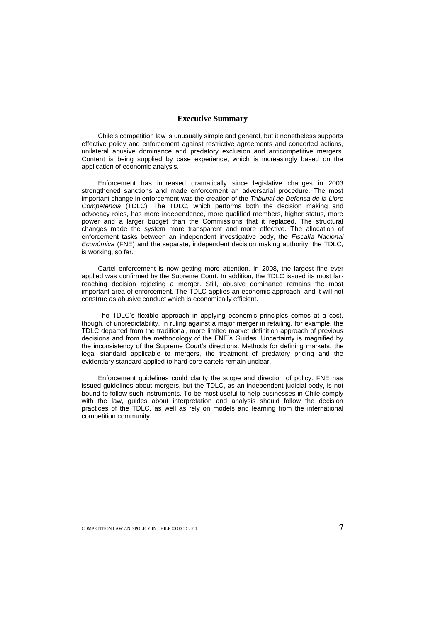#### **Executive Summary**

Chile's competition law is unusually simple and general, but it nonetheless supports effective policy and enforcement against restrictive agreements and concerted actions, unilateral abusive dominance and predatory exclusion and anticompetitive mergers. Content is being supplied by case experience, which is increasingly based on the application of economic analysis.

Enforcement has increased dramatically since legislative changes in 2003 strengthened sanctions and made enforcement an adversarial procedure. The most important change in enforcement was the creation of the *Tribunal de Defensa de la Libre Competencia* (TDLC). The TDLC, which performs both the decision making and advocacy roles, has more independence, more qualified members, higher status, more power and a larger budget than the Commissions that it replaced, The structural changes made the system more transparent and more effective. The allocation of enforcement tasks between an independent investigative body, the *Fiscalía Nacional Económica* (FNE) and the separate, independent decision making authority, the TDLC, is working, so far.

Cartel enforcement is now getting more attention. In 2008, the largest fine ever applied was confirmed by the Supreme Court. In addition, the TDLC issued its most farreaching decision rejecting a merger. Still, abusive dominance remains the most important area of enforcement. The TDLC applies an economic approach, and it will not construe as abusive conduct which is economically efficient.

The TDLC's flexible approach in applying economic principles comes at a cost, though, of unpredictability. In ruling against a major merger in retailing, for example, the TDLC departed from the traditional, more limited market definition approach of previous decisions and from the methodology of the FNE's Guides. Uncertainty is magnified by the inconsistency of the Supreme Court's directions. Methods for defining markets, the legal standard applicable to mergers, the treatment of predatory pricing and the evidentiary standard applied to hard core cartels remain unclear.

Enforcement guidelines could clarify the scope and direction of policy. FNE has issued guidelines about mergers, but the TDLC, as an independent judicial body, is not bound to follow such instruments. To be most useful to help businesses in Chile comply with the law, guides about interpretation and analysis should follow the decision practices of the TDLC, as well as rely on models and learning from the international competition community.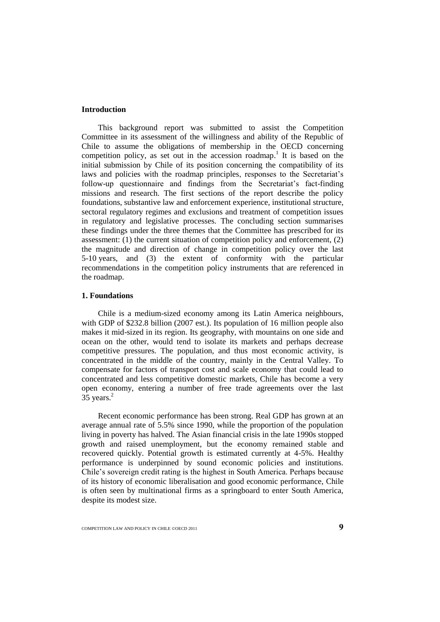#### **Introduction**

This background report was submitted to assist the Competition Committee in its assessment of the willingness and ability of the Republic of Chile to assume the obligations of membership in the OECD concerning competition policy, as set out in the accession roadmap.<sup>1</sup> It is based on the initial submission by Chile of its position concerning the compatibility of its laws and policies with the roadmap principles, responses to the Secretariat's follow-up questionnaire and findings from the Secretariat's fact-finding missions and research. The first sections of the report describe the policy foundations, substantive law and enforcement experience, institutional structure, sectoral regulatory regimes and exclusions and treatment of competition issues in regulatory and legislative processes. The concluding section summarises these findings under the three themes that the Committee has prescribed for its assessment: (1) the current situation of competition policy and enforcement, (2) the magnitude and direction of change in competition policy over the last 5-10 years, and (3) the extent of conformity with the particular recommendations in the competition policy instruments that are referenced in the roadmap.

#### **1. Foundations**

Chile is a medium-sized economy among its Latin America neighbours, with GDP of \$232.8 billion (2007 est.). Its population of 16 million people also makes it mid-sized in its region. Its geography, with mountains on one side and ocean on the other, would tend to isolate its markets and perhaps decrease competitive pressures. The population, and thus most economic activity, is concentrated in the middle of the country, mainly in the Central Valley. To compensate for factors of transport cost and scale economy that could lead to concentrated and less competitive domestic markets, Chile has become a very open economy, entering a number of free trade agreements over the last 35 years.<sup>2</sup>

Recent economic performance has been strong. Real GDP has grown at an average annual rate of 5.5% since 1990, while the proportion of the population living in poverty has halved. The Asian financial crisis in the late 1990s stopped growth and raised unemployment, but the economy remained stable and recovered quickly. Potential growth is estimated currently at 4-5%. Healthy performance is underpinned by sound economic policies and institutions. Chile"s sovereign credit rating is the highest in South America. Perhaps because of its history of economic liberalisation and good economic performance, Chile is often seen by multinational firms as a springboard to enter South America, despite its modest size.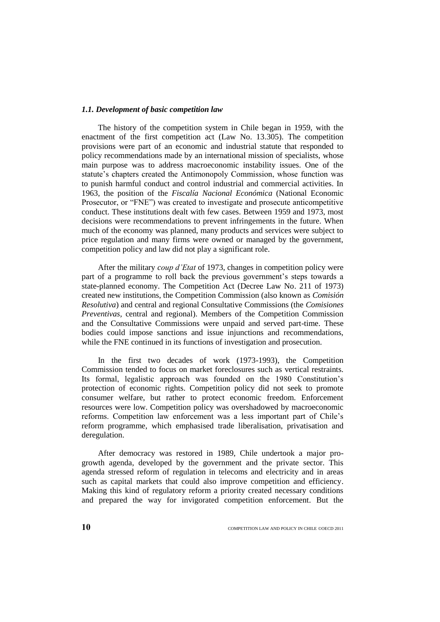#### *1.1. Development of basic competition law*

The history of the competition system in Chile began in 1959, with the enactment of the first competition act (Law No. 13.305). The competition provisions were part of an economic and industrial statute that responded to policy recommendations made by an international mission of specialists, whose main purpose was to address macroeconomic instability issues. One of the statute's chapters created the Antimonopoly Commission, whose function was to punish harmful conduct and control industrial and commercial activities. In 1963, the position of the *Fiscalía Nacional Económica* (National Economic Prosecutor, or "FNE") was created to investigate and prosecute anticompetitive conduct. These institutions dealt with few cases. Between 1959 and 1973, most decisions were recommendations to prevent infringements in the future. When much of the economy was planned, many products and services were subject to price regulation and many firms were owned or managed by the government, competition policy and law did not play a significant role.

After the military *coup d'Etat* of 1973, changes in competition policy were part of a programme to roll back the previous government's steps towards a state-planned economy. The Competition Act (Decree Law No. 211 of 1973) created new institutions, the Competition Commission (also known as *Comisión Resolutiva*) and central and regional Consultative Commissions (the *Comisiones Preventivas,* central and regional). Members of the Competition Commission and the Consultative Commissions were unpaid and served part-time. These bodies could impose sanctions and issue injunctions and recommendations, while the FNE continued in its functions of investigation and prosecution.

In the first two decades of work (1973-1993), the Competition Commission tended to focus on market foreclosures such as vertical restraints. Its formal, legalistic approach was founded on the 1980 Constitution"s protection of economic rights. Competition policy did not seek to promote consumer welfare, but rather to protect economic freedom. Enforcement resources were low. Competition policy was overshadowed by macroeconomic reforms. Competition law enforcement was a less important part of Chile"s reform programme, which emphasised trade liberalisation, privatisation and deregulation.

After democracy was restored in 1989, Chile undertook a major progrowth agenda, developed by the government and the private sector. This agenda stressed reform of regulation in telecoms and electricity and in areas such as capital markets that could also improve competition and efficiency. Making this kind of regulatory reform a priority created necessary conditions and prepared the way for invigorated competition enforcement. But the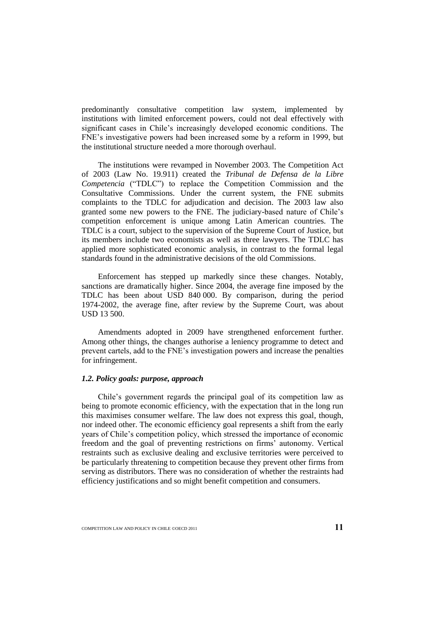predominantly consultative competition law system, implemented by institutions with limited enforcement powers, could not deal effectively with significant cases in Chile's increasingly developed economic conditions. The FNE"s investigative powers had been increased some by a reform in 1999, but the institutional structure needed a more thorough overhaul.

The institutions were revamped in November 2003. The Competition Act of 2003 (Law No. 19.911) created the *Tribunal de Defensa de la Libre Competencia* ("TDLC") to replace the Competition Commission and the Consultative Commissions. Under the current system, the FNE submits complaints to the TDLC for adjudication and decision. The 2003 law also granted some new powers to the FNE. The judiciary-based nature of Chile"s competition enforcement is unique among Latin American countries. The TDLC is a court, subject to the supervision of the Supreme Court of Justice, but its members include two economists as well as three lawyers. The TDLC has applied more sophisticated economic analysis, in contrast to the formal legal standards found in the administrative decisions of the old Commissions.

Enforcement has stepped up markedly since these changes. Notably, sanctions are dramatically higher. Since 2004, the average fine imposed by the TDLC has been about USD 840 000. By comparison, during the period 1974-2002, the average fine, after review by the Supreme Court, was about USD 13 500.

Amendments adopted in 2009 have strengthened enforcement further. Among other things, the changes authorise a leniency programme to detect and prevent cartels, add to the FNE"s investigation powers and increase the penalties for infringement.

#### *1.2. Policy goals: purpose, approach*

Chile"s government regards the principal goal of its competition law as being to promote economic efficiency, with the expectation that in the long run this maximises consumer welfare. The law does not express this goal, though, nor indeed other. The economic efficiency goal represents a shift from the early years of Chile"s competition policy, which stressed the importance of economic freedom and the goal of preventing restrictions on firms' autonomy. Vertical restraints such as exclusive dealing and exclusive territories were perceived to be particularly threatening to competition because they prevent other firms from serving as distributors. There was no consideration of whether the restraints had efficiency justifications and so might benefit competition and consumers.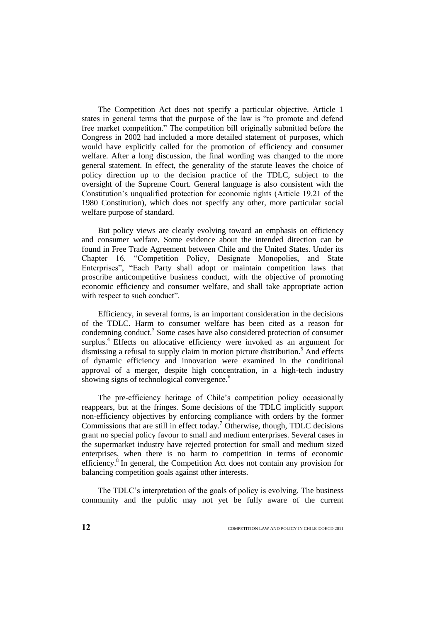The Competition Act does not specify a particular objective. Article 1 states in general terms that the purpose of the law is "to promote and defend free market competition." The competition bill originally submitted before the Congress in 2002 had included a more detailed statement of purposes, which would have explicitly called for the promotion of efficiency and consumer welfare. After a long discussion, the final wording was changed to the more general statement. In effect, the generality of the statute leaves the choice of policy direction up to the decision practice of the TDLC, subject to the oversight of the Supreme Court. General language is also consistent with the Constitution"s unqualified protection for economic rights (Article 19.21 of the 1980 Constitution), which does not specify any other, more particular social welfare purpose of standard.

But policy views are clearly evolving toward an emphasis on efficiency and consumer welfare. Some evidence about the intended direction can be found in Free Trade Agreement between Chile and the United States. Under its Chapter 16, "Competition Policy, Designate Monopolies, and State Enterprises", "Each Party shall adopt or maintain competition laws that proscribe anticompetitive business conduct, with the objective of promoting economic efficiency and consumer welfare, and shall take appropriate action with respect to such conduct".

Efficiency, in several forms, is an important consideration in the decisions of the TDLC. Harm to consumer welfare has been cited as a reason for condemning conduct.<sup>3</sup> Some cases have also considered protection of consumer surplus.<sup>4</sup> Effects on allocative efficiency were invoked as an argument for dismissing a refusal to supply claim in motion picture distribution.<sup>5</sup> And effects of dynamic efficiency and innovation were examined in the conditional approval of a merger, despite high concentration, in a high-tech industry showing signs of technological convergence.<sup>6</sup>

The pre-efficiency heritage of Chile"s competition policy occasionally reappears, but at the fringes. Some decisions of the TDLC implicitly support non-efficiency objectives by enforcing compliance with orders by the former Commissions that are still in effect today.<sup>7</sup> Otherwise, though, TDLC decisions grant no special policy favour to small and medium enterprises. Several cases in the supermarket industry have rejected protection for small and medium sized enterprises, when there is no harm to competition in terms of economic efficiency.<sup>8</sup> In general, the Competition Act does not contain any provision for balancing competition goals against other interests.

The TDLC"s interpretation of the goals of policy is evolving. The business community and the public may not yet be fully aware of the current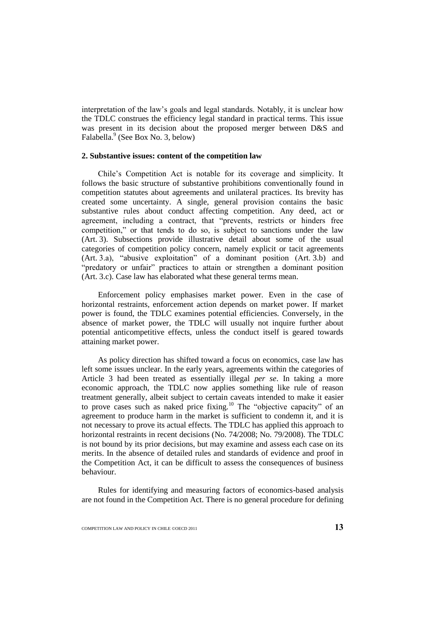interpretation of the law"s goals and legal standards. Notably, it is unclear how the TDLC construes the efficiency legal standard in practical terms. This issue was present in its decision about the proposed merger between D&S and Falabella.<sup>9</sup> (See Box No. 3, below)

#### **2. Substantive issues: content of the competition law**

Chile"s Competition Act is notable for its coverage and simplicity. It follows the basic structure of substantive prohibitions conventionally found in competition statutes about agreements and unilateral practices. Its brevity has created some uncertainty. A single, general provision contains the basic substantive rules about conduct affecting competition. Any deed, act or agreement, including a contract, that "prevents, restricts or hinders free competition," or that tends to do so, is subject to sanctions under the law (Art. 3). Subsections provide illustrative detail about some of the usual categories of competition policy concern, namely explicit or tacit agreements (Art. 3.a), "abusive exploitation" of a dominant position (Art. 3.b) and "predatory or unfair" practices to attain or strengthen a dominant position (Art. 3.c). Case law has elaborated what these general terms mean.

Enforcement policy emphasises market power. Even in the case of horizontal restraints, enforcement action depends on market power. If market power is found, the TDLC examines potential efficiencies. Conversely, in the absence of market power, the TDLC will usually not inquire further about potential anticompetitive effects, unless the conduct itself is geared towards attaining market power.

As policy direction has shifted toward a focus on economics, case law has left some issues unclear. In the early years, agreements within the categories of Article 3 had been treated as essentially illegal *per se*. In taking a more economic approach, the TDLC now applies something like rule of reason treatment generally, albeit subject to certain caveats intended to make it easier to prove cases such as naked price fixing.<sup>10</sup> The "objective capacity" of an agreement to produce harm in the market is sufficient to condemn it, and it is not necessary to prove its actual effects. The TDLC has applied this approach to horizontal restraints in recent decisions (No. 74/2008; No. 79/2008). The TDLC is not bound by its prior decisions, but may examine and assess each case on its merits. In the absence of detailed rules and standards of evidence and proof in the Competition Act, it can be difficult to assess the consequences of business behaviour.

Rules for identifying and measuring factors of economics-based analysis are not found in the Competition Act. There is no general procedure for defining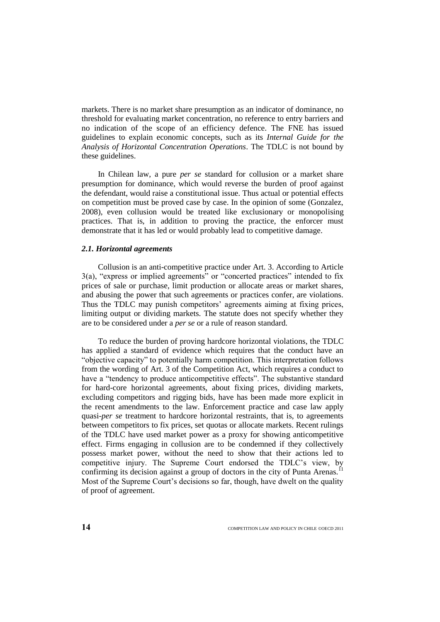markets. There is no market share presumption as an indicator of dominance, no threshold for evaluating market concentration, no reference to entry barriers and no indication of the scope of an efficiency defence. The FNE has issued guidelines to explain economic concepts, such as its *Internal Guide for the Analysis of Horizontal Concentration Operations*. The TDLC is not bound by these guidelines.

In Chilean law, a pure *per se* standard for collusion or a market share presumption for dominance, which would reverse the burden of proof against the defendant, would raise a constitutional issue. Thus actual or potential effects on competition must be proved case by case. In the opinion of some (Gonzalez, 2008), even collusion would be treated like exclusionary or monopolising practices. That is, in addition to proving the practice, the enforcer must demonstrate that it has led or would probably lead to competitive damage.

#### *2.1. Horizontal agreements*

Collusion is an anti-competitive practice under Art. 3. According to Article 3(a), "express or implied agreements" or "concerted practices" intended to fix prices of sale or purchase, limit production or allocate areas or market shares, and abusing the power that such agreements or practices confer, are violations. Thus the TDLC may punish competitors' agreements aiming at fixing prices, limiting output or dividing markets. The statute does not specify whether they are to be considered under a *per se* or a rule of reason standard.

To reduce the burden of proving hardcore horizontal violations, the TDLC has applied a standard of evidence which requires that the conduct have an "objective capacity" to potentially harm competition. This interpretation follows from the wording of Art. 3 of the Competition Act, which requires a conduct to have a "tendency to produce anticompetitive effects". The substantive standard for hard-core horizontal agreements, about fixing prices, dividing markets, excluding competitors and rigging bids, have has been made more explicit in the recent amendments to the law. Enforcement practice and case law apply quasi-*per se* treatment to hardcore horizontal restraints, that is, to agreements between competitors to fix prices, set quotas or allocate markets. Recent rulings of the TDLC have used market power as a proxy for showing anticompetitive effect. Firms engaging in collusion are to be condemned if they collectively possess market power, without the need to show that their actions led to competitive injury. The Supreme Court endorsed the TDLC"s view, by confirming its decision against a group of doctors in the city of Punta Arenas.<sup>11</sup> Most of the Supreme Court's decisions so far, though, have dwelt on the quality of proof of agreement.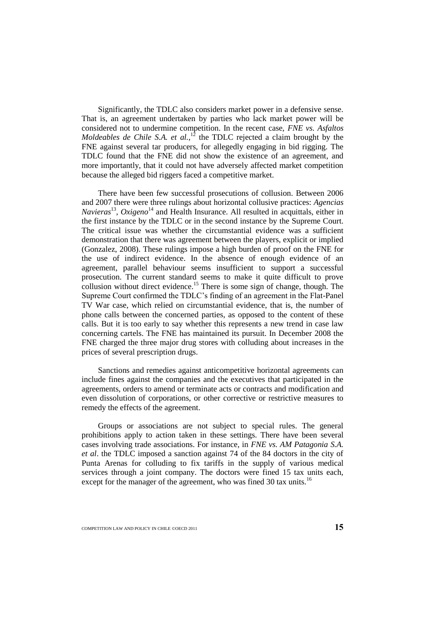Significantly, the TDLC also considers market power in a defensive sense. That is, an agreement undertaken by parties who lack market power will be considered not to undermine competition. In the recent case, *FNE vs. Asfaltos Moldeables de Chile S.A. et al.*,<sup>12</sup> the TDLC rejected a claim brought by the FNE against several tar producers, for allegedly engaging in bid rigging. The TDLC found that the FNE did not show the existence of an agreement, and more importantly, that it could not have adversely affected market competition because the alleged bid riggers faced a competitive market.

There have been few successful prosecutions of collusion. Between 2006 and 2007 there were three rulings about horizontal collusive practices: *Agencias*  Navieras<sup>13</sup>, Oxigeno<sup>14</sup> and Health Insurance. All resulted in acquittals, either in the first instance by the TDLC or in the second instance by the Supreme Court. The critical issue was whether the circumstantial evidence was a sufficient demonstration that there was agreement between the players, explicit or implied (Gonzalez, 2008). These rulings impose a high burden of proof on the FNE for the use of indirect evidence. In the absence of enough evidence of an agreement, parallel behaviour seems insufficient to support a successful prosecution. The current standard seems to make it quite difficult to prove collusion without direct evidence.<sup>15</sup> There is some sign of change, though. The Supreme Court confirmed the TDLC"s finding of an agreement in the Flat-Panel TV War case, which relied on circumstantial evidence, that is, the number of phone calls between the concerned parties, as opposed to the content of these calls. But it is too early to say whether this represents a new trend in case law concerning cartels. The FNE has maintained its pursuit. In December 2008 the FNE charged the three major drug stores with colluding about increases in the prices of several prescription drugs.

Sanctions and remedies against anticompetitive horizontal agreements can include fines against the companies and the executives that participated in the agreements, orders to amend or terminate acts or contracts and modification and even dissolution of corporations, or other corrective or restrictive measures to remedy the effects of the agreement.

Groups or associations are not subject to special rules. The general prohibitions apply to action taken in these settings. There have been several cases involving trade associations. For instance, in *FNE vs. AM Patagonia S.A. et al*. the TDLC imposed a sanction against 74 of the 84 doctors in the city of Punta Arenas for colluding to fix tariffs in the supply of various medical services through a joint company. The doctors were fined 15 tax units each, except for the manager of the agreement, who was fined 30 tax units.<sup>16</sup>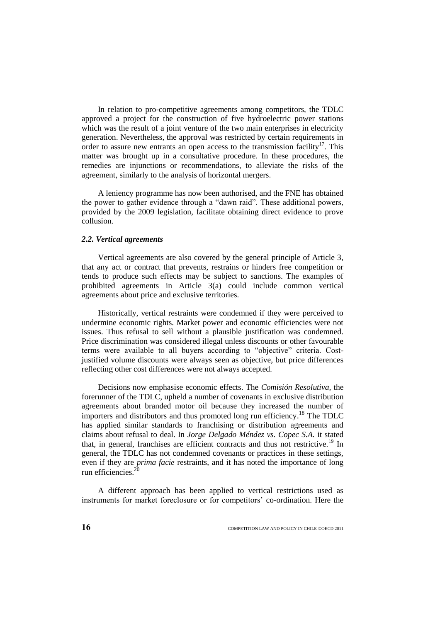In relation to pro-competitive agreements among competitors, the TDLC approved a project for the construction of five hydroelectric power stations which was the result of a joint venture of the two main enterprises in electricity generation. Nevertheless, the approval was restricted by certain requirements in order to assure new entrants an open access to the transmission facility<sup>17</sup>. This matter was brought up in a consultative procedure. In these procedures, the remedies are injunctions or recommendations, to alleviate the risks of the agreement, similarly to the analysis of horizontal mergers.

A leniency programme has now been authorised, and the FNE has obtained the power to gather evidence through a "dawn raid". These additional powers, provided by the 2009 legislation, facilitate obtaining direct evidence to prove collusion.

#### *2.2. Vertical agreements*

Vertical agreements are also covered by the general principle of Article 3, that any act or contract that prevents, restrains or hinders free competition or tends to produce such effects may be subject to sanctions. The examples of prohibited agreements in Article 3(a) could include common vertical agreements about price and exclusive territories.

Historically, vertical restraints were condemned if they were perceived to undermine economic rights. Market power and economic efficiencies were not issues. Thus refusal to sell without a plausible justification was condemned. Price discrimination was considered illegal unless discounts or other favourable terms were available to all buyers according to "objective" criteria. Costjustified volume discounts were always seen as objective, but price differences reflecting other cost differences were not always accepted.

Decisions now emphasise economic effects. The *Comisión Resolutiva,* the forerunner of the TDLC, upheld a number of covenants in exclusive distribution agreements about branded motor oil because they increased the number of importers and distributors and thus promoted long run efficiency. <sup>18</sup> The TDLC has applied similar standards to franchising or distribution agreements and claims about refusal to deal. In *Jorge Delgado Méndez vs. Copec S.A.* it stated that, in general, franchises are efficient contracts and thus not restrictive.<sup>19</sup> In general, the TDLC has not condemned covenants or practices in these settings, even if they are *prima facie* restraints, and it has noted the importance of long run efficiencies.<sup>20</sup>

A different approach has been applied to vertical restrictions used as instruments for market foreclosure or for competitors" co-ordination. Here the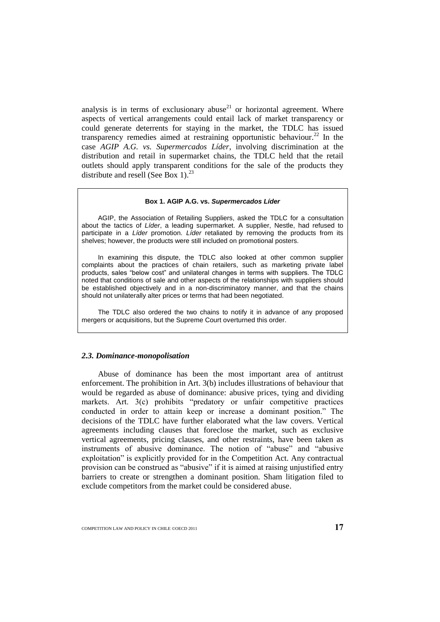analysis is in terms of exclusionary abuse $2^1$  or horizontal agreement. Where aspects of vertical arrangements could entail lack of market transparency or could generate deterrents for staying in the market, the TDLC has issued transparency remedies aimed at restraining opportunistic behaviour.<sup>22</sup> In the case *AGIP A.G. vs. Supermercados Líder*, involving discrimination at the distribution and retail in supermarket chains, the TDLC held that the retail outlets should apply transparent conditions for the sale of the products they distribute and resell (See Box 1).<sup>23</sup>

#### **Box 1. AGIP A.G. vs.** *Supermercados Líder*

AGIP, the Association of Retailing Suppliers, asked the TDLC for a consultation about the tactics of *Líder*, a leading supermarket. A supplier, Nestle, had refused to participate in a *Líder* promotion. *Líder* retaliated by removing the products from its shelves; however, the products were still included on promotional posters.

In examining this dispute, the TDLC also looked at other common supplier complaints about the practices of chain retailers, such as marketing private label products, sales "below cost" and unilateral changes in terms with suppliers. The TDLC noted that conditions of sale and other aspects of the relationships with suppliers should be established objectively and in a non-discriminatory manner, and that the chains should not unilaterally alter prices or terms that had been negotiated.

The TDLC also ordered the two chains to notify it in advance of any proposed mergers or acquisitions, but the Supreme Court overturned this order.

#### *2.3. Dominance-monopolisation*

Abuse of dominance has been the most important area of antitrust enforcement. The prohibition in Art. 3(b) includes illustrations of behaviour that would be regarded as abuse of dominance: abusive prices, tying and dividing markets. Art. 3(c) prohibits "predatory or unfair competitive practices conducted in order to attain keep or increase a dominant position." The decisions of the TDLC have further elaborated what the law covers. Vertical agreements including clauses that foreclose the market, such as exclusive vertical agreements, pricing clauses, and other restraints, have been taken as instruments of abusive dominance. The notion of "abuse" and "abusive exploitation" is explicitly provided for in the Competition Act. Any contractual provision can be construed as "abusive" if it is aimed at raising unjustified entry barriers to create or strengthen a dominant position. Sham litigation filed to exclude competitors from the market could be considered abuse.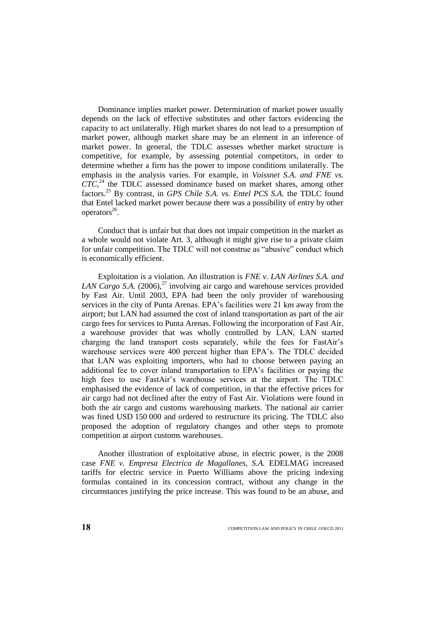Dominance implies market power. Determination of market power usually depends on the lack of effective substitutes and other factors evidencing the capacity to act unilaterally. High market shares do not lead to a presumption of market power, although market share may be an element in an inference of market power. In general, the TDLC assesses whether market structure is competitive, for example, by assessing potential competitors, in order to determine whether a firm has the power to impose conditions unilaterally. The emphasis in the analysis varies. For example, in *Voissnet S.A. and FNE vs. CTC*, <sup>24</sup> the TDLC assessed dominance based on market shares, among other factors.<sup>25</sup> By contrast, in *GPS Chile S.A. vs. Entel PCS S.A.* the TDLC found that Entel lacked market power because there was a possibility of entry by other  $operators<sup>26</sup>$ .

Conduct that is unfair but that does not impair competition in the market as a whole would not violate Art. 3, although it might give rise to a private claim for unfair competition. The TDLC will not construe as "abusive" conduct which is economically efficient.

Exploitation is a violation. An illustration is *FNE v. LAN Airlines S.A. and LAN Cargo S.A.* (2006),<sup>27</sup> involving air cargo and warehouse services provided by Fast Air. Until 2003, EPA had been the only provider of warehousing services in the city of Punta Arenas. EPA"s facilities were 21 km away from the airport; but LAN had assumed the cost of inland transportation as part of the air cargo fees for services to Punta Arenas. Following the incorporation of Fast Air, a warehouse provider that was wholly controlled by LAN, LAN started charging the land transport costs separately, while the fees for FastAir"s warehouse services were 400 percent higher than EPA"s. The TDLC decided that LAN was exploiting importers, who had to choose between paying an additional fee to cover inland transportation to EPA"s facilities or paying the high fees to use FastAir"s warehouse services at the airport. The TDLC emphasised the evidence of lack of competition, in that the effective prices for air cargo had not declined after the entry of Fast Air. Violations were found in both the air cargo and customs warehousing markets. The national air carrier was fined USD 150 000 and ordered to restructure its pricing. The TDLC also proposed the adoption of regulatory changes and other steps to promote competition at airport customs warehouses.

Another illustration of exploitative abuse, in electric power, is the 2008 case *FNE v. Empresa Electrica de Magallanes, S.A.* EDELMAG increased tariffs for electric service in Puerto Williams above the pricing indexing formulas contained in its concession contract, without any change in the circumstances justifying the price increase. This was found to be an abuse, and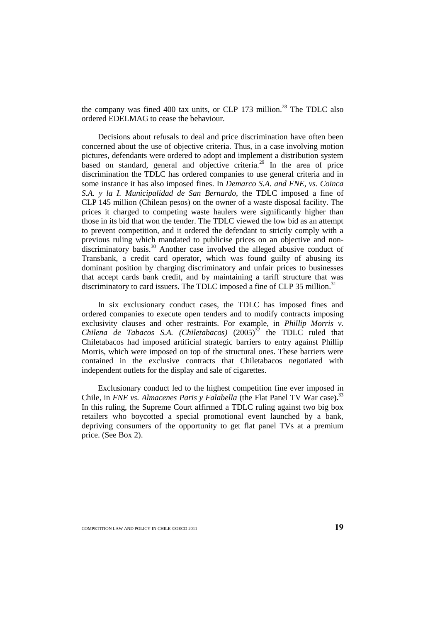the company was fined 400 tax units, or CLP 173 million.<sup>28</sup> The TDLC also ordered EDELMAG to cease the behaviour.

Decisions about refusals to deal and price discrimination have often been concerned about the use of objective criteria. Thus, in a case involving motion pictures, defendants were ordered to adopt and implement a distribution system based on standard, general and objective criteria.<sup>29</sup> In the area of price discrimination the TDLC has ordered companies to use general criteria and in some instance it has also imposed fines. In *Demarco S.A. and FNE, vs. Coinca S.A. y la I. Municipalidad de San Bernardo,* the TDLC imposed a fine of CLP 145 million (Chilean pesos) on the owner of a waste disposal facility. The prices it charged to competing waste haulers were significantly higher than those in its bid that won the tender. The TDLC viewed the low bid as an attempt to prevent competition, and it ordered the defendant to strictly comply with a previous ruling which mandated to publicise prices on an objective and nondiscriminatory basis.<sup>30</sup> Another case involved the alleged abusive conduct of Transbank, a credit card operator, which was found guilty of abusing its dominant position by charging discriminatory and unfair prices to businesses that accept cards bank credit, and by maintaining a tariff structure that was discriminatory to card issuers. The TDLC imposed a fine of CLP 35 million.<sup>31</sup>

In six exclusionary conduct cases, the TDLC has imposed fines and ordered companies to execute open tenders and to modify contracts imposing exclusivity clauses and other restraints. For example, in *Phillip Morris v. Chilena de Tabacos S.A. (Chiletabacos)*  $(2005)^{32}$  the TDLC ruled that Chiletabacos had imposed artificial strategic barriers to entry against Phillip Morris, which were imposed on top of the structural ones. These barriers were contained in the exclusive contracts that Chiletabacos negotiated with independent outlets for the display and sale of cigarettes.

Exclusionary conduct led to the highest competition fine ever imposed in Chile, in *FNE vs. Almacenes Paris y Falabella* (the Flat Panel TV War case**).**<sup>33</sup> In this ruling, the Supreme Court affirmed a TDLC ruling against two big box retailers who boycotted a special promotional event launched by a bank, depriving consumers of the opportunity to get flat panel TVs at a premium price. (See Box 2).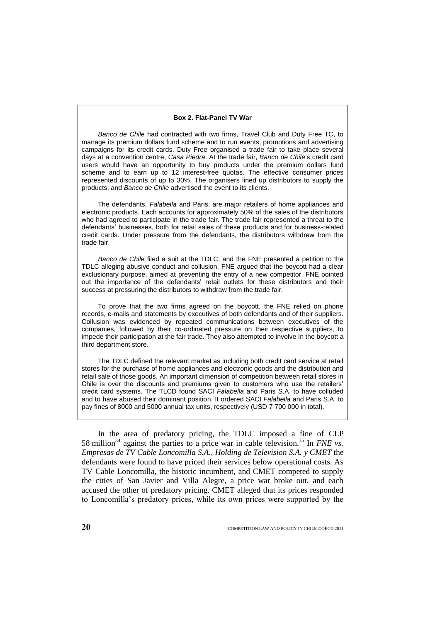#### **Box 2. Flat-Panel TV War**

*Banco de Chile* had contracted with two firms, Travel Club and Duty Free TC, to manage its premium dollars fund scheme and to run events, promotions and advertising campaigns for its credit cards. Duty Free organised a trade fair to take place several days at a convention centre, *Casa Piedra*. At the trade fair, *Banco de Chile*'s credit card users would have an opportunity to buy products under the premium dollars fund scheme and to earn up to 12 interest-free quotas. The effective consumer prices represented discounts of up to 30%. The organisers lined up distributors to supply the products, and *Banco de Chile* advertised the event to its clients.

The defendants, *Falabella* and Paris, are major retailers of home appliances and electronic products. Each accounts for approximately 50% of the sales of the distributors who had agreed to participate in the trade fair. The trade fair represented a threat to the defendants' businesses, both for retail sales of these products and for business-related credit cards. Under pressure from the defendants, the distributors withdrew from the trade fair.

*Banco de Chile* filed a suit at the TDLC, and the FNE presented a petition to the TDLC alleging abusive conduct and collusion. FNE argued that the boycott had a clear exclusionary purpose, aimed at preventing the entry of a new competitor. FNE pointed out the importance of the defendants' retail outlets for these distributors and their success at pressuring the distributors to withdraw from the trade fair.

To prove that the two firms agreed on the boycott, the FNE relied on phone records, e-mails and statements by executives of both defendants and of their suppliers. Collusion was evidenced by repeated communications between executives of the companies, followed by their co-ordinated pressure on their respective suppliers, to impede their participation at the fair trade. They also attempted to involve in the boycott a third department store.

The TDLC defined the relevant market as including both credit card service at retail stores for the purchase of home appliances and electronic goods and the distribution and retail sale of those goods. An important dimension of competition between retail stores in Chile is over the discounts and premiums given to customers who use the retailers' credit card systems. The TLCD found SACI *Falabella* and Paris S.A. to have colluded and to have abused their dominant position. It ordered SACI *Falabella* and Paris S.A. to pay fines of 8000 and 5000 annual tax units, respectively (USD 7 700 000 in total).

In the area of predatory pricing, the TDLC imposed a fine of CLP 58 million<sup>34</sup> against the parties to a price war in cable television.<sup>35</sup> In *FNE vs. Empresas de TV Cable Loncomilla S.A., Holding de Television S.A. y CMET* the defendants were found to have priced their services below operational costs. As TV Cable Loncomilla, the historic incumbent, and CMET competed to supply the cities of San Javier and Villa Alegre, a price war broke out, and each accused the other of predatory pricing. CMET alleged that its prices responded to Loncomilla"s predatory prices, while its own prices were supported by the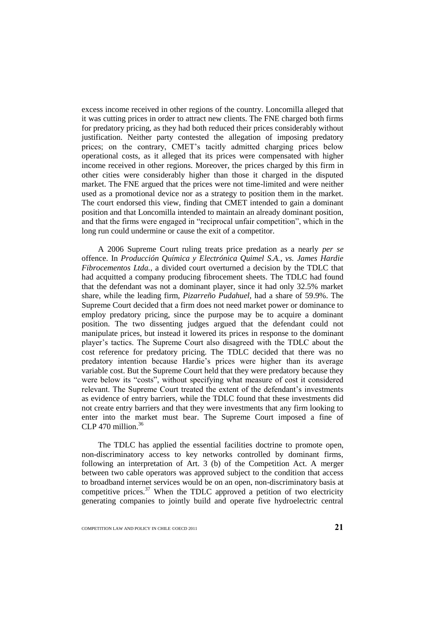excess income received in other regions of the country. Loncomilla alleged that it was cutting prices in order to attract new clients. The FNE charged both firms for predatory pricing, as they had both reduced their prices considerably without justification. Neither party contested the allegation of imposing predatory prices; on the contrary, CMET"s tacitly admitted charging prices below operational costs, as it alleged that its prices were compensated with higher income received in other regions. Moreover, the prices charged by this firm in other cities were considerably higher than those it charged in the disputed market. The FNE argued that the prices were not time-limited and were neither used as a promotional device nor as a strategy to position them in the market. The court endorsed this view, finding that CMET intended to gain a dominant position and that Loncomilla intended to maintain an already dominant position, and that the firms were engaged in "reciprocal unfair competition", which in the long run could undermine or cause the exit of a competitor.

A 2006 Supreme Court ruling treats price predation as a nearly *per se*  offence. In *Producción Química y Electrónica Quimel S.A., vs. James Hardie Fibrocementos Ltda.*, a divided court overturned a decision by the TDLC that had acquitted a company producing fibrocement sheets. The TDLC had found that the defendant was not a dominant player, since it had only 32.5% market share, while the leading firm, *Pizarreño Pudahuel*, had a share of 59.9%. The Supreme Court decided that a firm does not need market power or dominance to employ predatory pricing, since the purpose may be to acquire a dominant position. The two dissenting judges argued that the defendant could not manipulate prices, but instead it lowered its prices in response to the dominant player's tactics. The Supreme Court also disagreed with the TDLC about the cost reference for predatory pricing. The TDLC decided that there was no predatory intention because Hardie"s prices were higher than its average variable cost. But the Supreme Court held that they were predatory because they were below its "costs", without specifying what measure of cost it considered relevant. The Supreme Court treated the extent of the defendant"s investments as evidence of entry barriers, while the TDLC found that these investments did not create entry barriers and that they were investments that any firm looking to enter into the market must bear. The Supreme Court imposed a fine of CLP 470 million.<sup>36</sup>

The TDLC has applied the essential facilities doctrine to promote open, non-discriminatory access to key networks controlled by dominant firms, following an interpretation of Art. 3 (b) of the Competition Act. A merger between two cable operators was approved subject to the condition that access to broadband internet services would be on an open, non-discriminatory basis at competitive prices. $37$  When the TDLC approved a petition of two electricity generating companies to jointly build and operate five hydroelectric central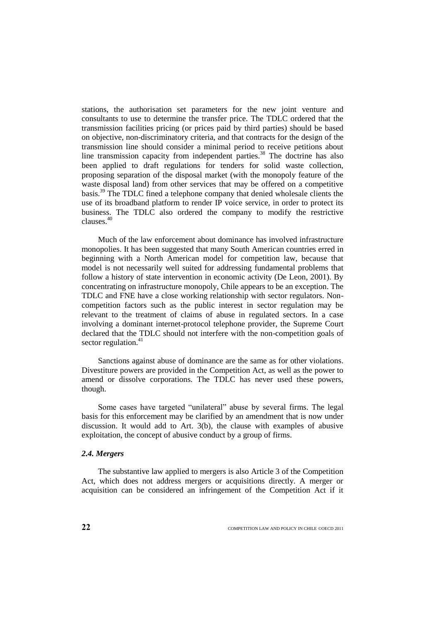stations, the authorisation set parameters for the new joint venture and consultants to use to determine the transfer price. The TDLC ordered that the transmission facilities pricing (or prices paid by third parties) should be based on objective, non-discriminatory criteria, and that contracts for the design of the transmission line should consider a minimal period to receive petitions about line transmission capacity from independent parties.<sup>38</sup> The doctrine has also been applied to draft regulations for tenders for solid waste collection, proposing separation of the disposal market (with the monopoly feature of the waste disposal land) from other services that may be offered on a competitive basis.<sup>39</sup> The TDLC fined a telephone company that denied wholesale clients the use of its broadband platform to render IP voice service, in order to protect its business. The TDLC also ordered the company to modify the restrictive clauses.<sup>40</sup>

Much of the law enforcement about dominance has involved infrastructure monopolies. It has been suggested that many South American countries erred in beginning with a North American model for competition law, because that model is not necessarily well suited for addressing fundamental problems that follow a history of state intervention in economic activity (De Leon, 2001). By concentrating on infrastructure monopoly, Chile appears to be an exception. The TDLC and FNE have a close working relationship with sector regulators. Noncompetition factors such as the public interest in sector regulation may be relevant to the treatment of claims of abuse in regulated sectors. In a case involving a dominant internet-protocol telephone provider, the Supreme Court declared that the TDLC should not interfere with the non-competition goals of sector regulation.<sup>41</sup>

Sanctions against abuse of dominance are the same as for other violations. Divestiture powers are provided in the Competition Act, as well as the power to amend or dissolve corporations. The TDLC has never used these powers, though.

Some cases have targeted "unilateral" abuse by several firms. The legal basis for this enforcement may be clarified by an amendment that is now under discussion. It would add to Art. 3(b), the clause with examples of abusive exploitation, the concept of abusive conduct by a group of firms.

#### *2.4. Mergers*

The substantive law applied to mergers is also Article 3 of the Competition Act, which does not address mergers or acquisitions directly. A merger or acquisition can be considered an infringement of the Competition Act if it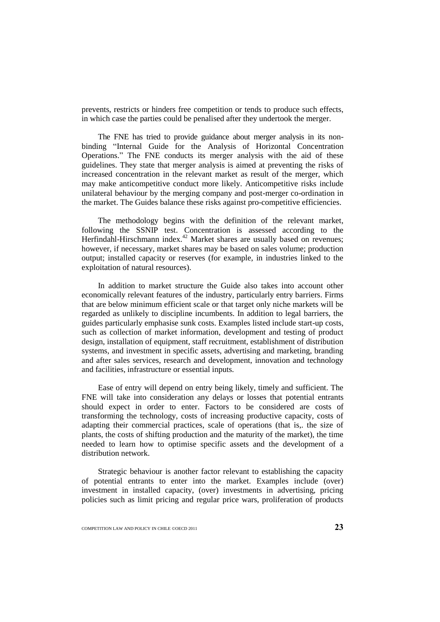prevents, restricts or hinders free competition or tends to produce such effects, in which case the parties could be penalised after they undertook the merger.

The FNE has tried to provide guidance about merger analysis in its nonbinding "Internal Guide for the Analysis of Horizontal Concentration Operations." The FNE conducts its merger analysis with the aid of these guidelines. They state that merger analysis is aimed at preventing the risks of increased concentration in the relevant market as result of the merger, which may make anticompetitive conduct more likely. Anticompetitive risks include unilateral behaviour by the merging company and post-merger co-ordination in the market. The Guides balance these risks against pro-competitive efficiencies.

The methodology begins with the definition of the relevant market, following the SSNIP test. Concentration is assessed according to the Herfindahl-Hirschmann index.<sup>42</sup> Market shares are usually based on revenues; however, if necessary, market shares may be based on sales volume; production output; installed capacity or reserves (for example, in industries linked to the exploitation of natural resources).

In addition to market structure the Guide also takes into account other economically relevant features of the industry, particularly entry barriers. Firms that are below minimum efficient scale or that target only niche markets will be regarded as unlikely to discipline incumbents. In addition to legal barriers, the guides particularly emphasise sunk costs. Examples listed include start-up costs, such as collection of market information, development and testing of product design, installation of equipment, staff recruitment, establishment of distribution systems, and investment in specific assets, advertising and marketing, branding and after sales services, research and development, innovation and technology and facilities, infrastructure or essential inputs.

Ease of entry will depend on entry being likely, timely and sufficient. The FNE will take into consideration any delays or losses that potential entrants should expect in order to enter. Factors to be considered are costs of transforming the technology, costs of increasing productive capacity, costs of adapting their commercial practices, scale of operations (that is,. the size of plants, the costs of shifting production and the maturity of the market), the time needed to learn how to optimise specific assets and the development of a distribution network.

Strategic behaviour is another factor relevant to establishing the capacity of potential entrants to enter into the market. Examples include (over) investment in installed capacity, (over) investments in advertising, pricing policies such as limit pricing and regular price wars, proliferation of products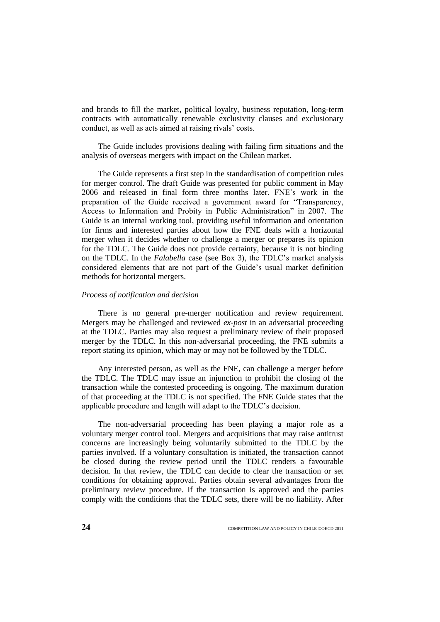and brands to fill the market, political loyalty, business reputation, long-term contracts with automatically renewable exclusivity clauses and exclusionary conduct, as well as acts aimed at raising rivals" costs.

The Guide includes provisions dealing with failing firm situations and the analysis of overseas mergers with impact on the Chilean market.

The Guide represents a first step in the standardisation of competition rules for merger control. The draft Guide was presented for public comment in May 2006 and released in final form three months later. FNE"s work in the preparation of the Guide received a government award for "Transparency, Access to Information and Probity in Public Administration" in 2007. The Guide is an internal working tool, providing useful information and orientation for firms and interested parties about how the FNE deals with a horizontal merger when it decides whether to challenge a merger or prepares its opinion for the TDLC. The Guide does not provide certainty, because it is not binding on the TDLC. In the *Falabella* case (see Box 3), the TDLC"s market analysis considered elements that are not part of the Guide"s usual market definition methods for horizontal mergers.

#### *Process of notification and decision*

There is no general pre-merger notification and review requirement. Mergers may be challenged and reviewed *ex-post* in an adversarial proceeding at the TDLC. Parties may also request a preliminary review of their proposed merger by the TDLC. In this non-adversarial proceeding, the FNE submits a report stating its opinion, which may or may not be followed by the TDLC.

Any interested person, as well as the FNE, can challenge a merger before the TDLC. The TDLC may issue an injunction to prohibit the closing of the transaction while the contested proceeding is ongoing. The maximum duration of that proceeding at the TDLC is not specified. The FNE Guide states that the applicable procedure and length will adapt to the TDLC"s decision.

The non-adversarial proceeding has been playing a major role as a voluntary merger control tool. Mergers and acquisitions that may raise antitrust concerns are increasingly being voluntarily submitted to the TDLC by the parties involved. If a voluntary consultation is initiated, the transaction cannot be closed during the review period until the TDLC renders a favourable decision. In that review, the TDLC can decide to clear the transaction or set conditions for obtaining approval. Parties obtain several advantages from the preliminary review procedure. If the transaction is approved and the parties comply with the conditions that the TDLC sets, there will be no liability. After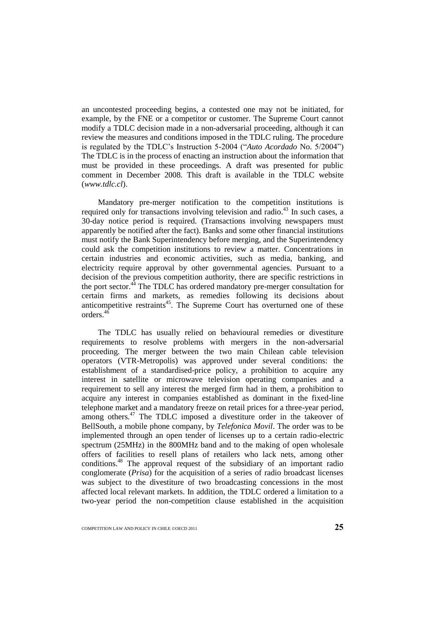an uncontested proceeding begins, a contested one may not be initiated, for example, by the FNE or a competitor or customer. The Supreme Court cannot modify a TDLC decision made in a non-adversarial proceeding, although it can review the measures and conditions imposed in the TDLC ruling. The procedure is regulated by the TDLC"s Instruction 5-2004 ("*Auto Acordado* No. 5/2004") The TDLC is in the process of enacting an instruction about the information that must be provided in these proceedings. A draft was presented for public comment in December 2008. This draft is available in the TDLC website (*www.tdlc.cl*).

Mandatory pre-merger notification to the competition institutions is required only for transactions involving television and radio.<sup>43</sup> In such cases, a 30-day notice period is required. (Transactions involving newspapers must apparently be notified after the fact). Banks and some other financial institutions must notify the Bank Superintendency before merging, and the Superintendency could ask the competition institutions to review a matter. Concentrations in certain industries and economic activities, such as media, banking, and electricity require approval by other governmental agencies. Pursuant to a decision of the previous competition authority, there are specific restrictions in the port sector.<sup>44</sup> The TDLC has ordered mandatory pre-merger consultation for certain firms and markets, as remedies following its decisions about anticompetitive restraints<sup>45</sup>. The Supreme Court has overturned one of these orders.<sup>46</sup>

The TDLC has usually relied on behavioural remedies or divestiture requirements to resolve problems with mergers in the non-adversarial proceeding. The merger between the two main Chilean cable television operators (VTR-Metropolis) was approved under several conditions: the establishment of a standardised-price policy, a prohibition to acquire any interest in satellite or microwave television operating companies and a requirement to sell any interest the merged firm had in them, a prohibition to acquire any interest in companies established as dominant in the fixed-line telephone market and a mandatory freeze on retail prices for a three-year period, among others.<sup>47</sup> The TDLC imposed a divestiture order in the takeover of BellSouth, a mobile phone company, by *Telefonica Movil*. The order was to be implemented through an open tender of licenses up to a certain radio-electric spectrum (25MHz) in the 800MHz band and to the making of open wholesale offers of facilities to resell plans of retailers who lack nets, among other conditions.<sup>48</sup> The approval request of the subsidiary of an important radio conglomerate (*Prisa*) for the acquisition of a series of radio broadcast licenses was subject to the divestiture of two broadcasting concessions in the most affected local relevant markets. In addition, the TDLC ordered a limitation to a two-year period the non-competition clause established in the acquisition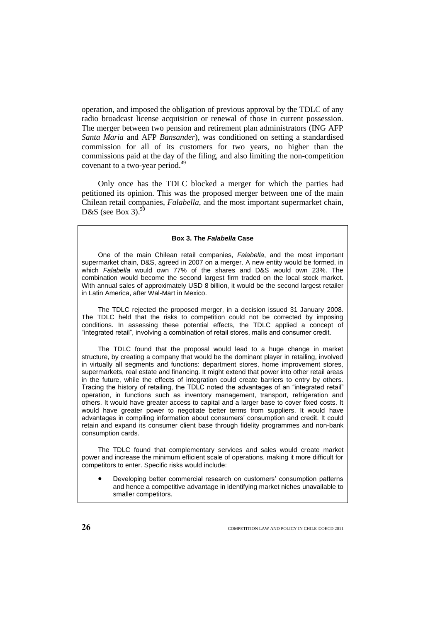operation, and imposed the obligation of previous approval by the TDLC of any radio broadcast license acquisition or renewal of those in current possession. The merger between two pension and retirement plan administrators (ING AFP *Santa Maria* and AFP *Bansander*), was conditioned on setting a standardised commission for all of its customers for two years, no higher than the commissions paid at the day of the filing, and also limiting the non-competition covenant to a two-year period.<sup>49</sup>

Only once has the TDLC blocked a merger for which the parties had petitioned its opinion. This was the proposed merger between one of the main Chilean retail companies, *Falabella*, and the most important supermarket chain, D&S (see Box 3). $50$ 

#### **Box 3. The** *Falabella* **Case**

One of the main Chilean retail companies, *Falabella*, and the most important supermarket chain, D&S, agreed in 2007 on a merger. A new entity would be formed, in which *Falabella* would own 77% of the shares and D&S would own 23%. The combination would become the second largest firm traded on the local stock market. With annual sales of approximately USD 8 billion, it would be the second largest retailer in Latin America, after Wal-Mart in Mexico.

The TDLC rejected the proposed merger, in a decision issued 31 January 2008. The TDLC held that the risks to competition could not be corrected by imposing conditions. In assessing these potential effects, the TDLC applied a concept of "integrated retail", involving a combination of retail stores, malls and consumer credit.

The TDLC found that the proposal would lead to a huge change in market structure, by creating a company that would be the dominant player in retailing, involved in virtually all segments and functions: department stores, home improvement stores, supermarkets, real estate and financing. It might extend that power into other retail areas in the future, while the effects of integration could create barriers to entry by others. Tracing the history of retailing, the TDLC noted the advantages of an "integrated retail" operation, in functions such as inventory management, transport, refrigeration and others. It would have greater access to capital and a larger base to cover fixed costs. It would have greater power to negotiate better terms from suppliers. It would have advantages in compiling information about consumers' consumption and credit. It could retain and expand its consumer client base through fidelity programmes and non-bank consumption cards.

The TDLC found that complementary services and sales would create market power and increase the minimum efficient scale of operations, making it more difficult for competitors to enter. Specific risks would include:

 Developing better commercial research on customers' consumption patterns and hence a competitive advantage in identifying market niches unavailable to smaller competitors.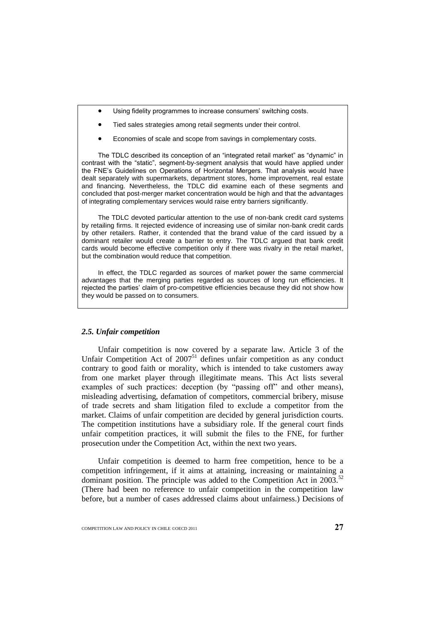- Using fidelity programmes to increase consumers' switching costs.
- Tied sales strategies among retail segments under their control.
- Economies of scale and scope from savings in complementary costs.

The TDLC described its conception of an "integrated retail market" as "dynamic" in contrast with the "static", segment-by-segment analysis that would have applied under the FNE's Guidelines on Operations of Horizontal Mergers. That analysis would have dealt separately with supermarkets, department stores, home improvement, real estate and financing. Nevertheless, the TDLC did examine each of these segments and concluded that post-merger market concentration would be high and that the advantages of integrating complementary services would raise entry barriers significantly.

The TDLC devoted particular attention to the use of non-bank credit card systems by retailing firms. It rejected evidence of increasing use of similar non-bank credit cards by other retailers. Rather, it contended that the brand value of the card issued by a dominant retailer would create a barrier to entry. The TDLC argued that bank credit cards would become effective competition only if there was rivalry in the retail market, but the combination would reduce that competition.

In effect, the TDLC regarded as sources of market power the same commercial advantages that the merging parties regarded as sources of long run efficiencies. It rejected the parties' claim of pro-competitive efficiencies because they did not show how they would be passed on to consumers.

#### *2.5. Unfair competition*

Unfair competition is now covered by a separate law. Article 3 of the Unfair Competition Act of  $2007<sup>51</sup>$  defines unfair competition as any conduct contrary to good faith or morality, which is intended to take customers away from one market player through illegitimate means. This Act lists several examples of such practices: deception (by "passing off" and other means), misleading advertising, defamation of competitors, commercial bribery, misuse of trade secrets and sham litigation filed to exclude a competitor from the market. Claims of unfair competition are decided by general jurisdiction courts. The competition institutions have a subsidiary role. If the general court finds unfair competition practices, it will submit the files to the FNE, for further prosecution under the Competition Act, within the next two years.

Unfair competition is deemed to harm free competition, hence to be a competition infringement, if it aims at attaining, increasing or maintaining a dominant position. The principle was added to the Competition Act in  $2003$ <sup>52</sup> (There had been no reference to unfair competition in the competition law before, but a number of cases addressed claims about unfairness.) Decisions of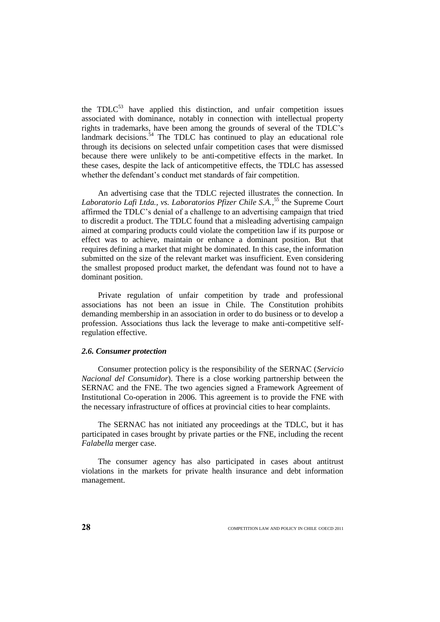the  $TDLC<sup>53</sup>$  have applied this distinction, and unfair competition issues associated with dominance, notably in connection with intellectual property rights in trademarks, have been among the grounds of several of the TDLC"s landmark decisions.<sup>54</sup> The TDLC has continued to play an educational role through its decisions on selected unfair competition cases that were dismissed because there were unlikely to be anti-competitive effects in the market. In these cases, despite the lack of anticompetitive effects, the TDLC has assessed whether the defendant's conduct met standards of fair competition.

An advertising case that the TDLC rejected illustrates the connection. In Laboratorio Lafi Ltda., vs. Laboratorios Pfizer Chile S.A.,<sup>55</sup> the Supreme Court affirmed the TDLC"s denial of a challenge to an advertising campaign that tried to discredit a product. The TDLC found that a misleading advertising campaign aimed at comparing products could violate the competition law if its purpose or effect was to achieve, maintain or enhance a dominant position. But that requires defining a market that might be dominated. In this case, the information submitted on the size of the relevant market was insufficient. Even considering the smallest proposed product market, the defendant was found not to have a dominant position.

Private regulation of unfair competition by trade and professional associations has not been an issue in Chile. The Constitution prohibits demanding membership in an association in order to do business or to develop a profession. Associations thus lack the leverage to make anti-competitive selfregulation effective.

#### *2.6. Consumer protection*

Consumer protection policy is the responsibility of the SERNAC (*Servicio Nacional del Consumidor*). There is a close working partnership between the SERNAC and the FNE. The two agencies signed a Framework Agreement of Institutional Co-operation in 2006. This agreement is to provide the FNE with the necessary infrastructure of offices at provincial cities to hear complaints.

The SERNAC has not initiated any proceedings at the TDLC, but it has participated in cases brought by private parties or the FNE, including the recent *Falabella* merger case.

The consumer agency has also participated in cases about antitrust violations in the markets for private health insurance and debt information management.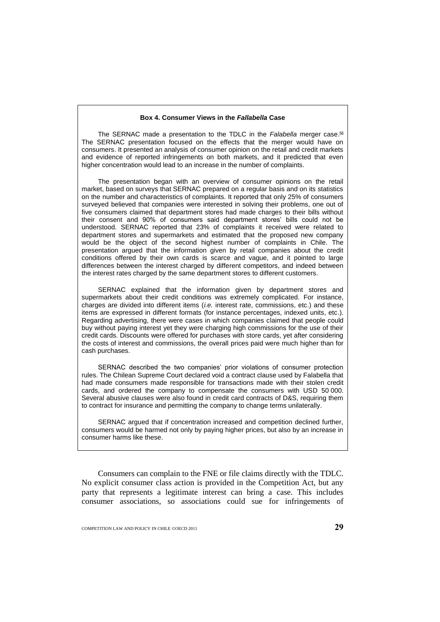#### **Box 4. Consumer Views in the** *Fallabella* **Case**

The SERNAC made a presentation to the TDLC in the *Falabella* merger case. 56 The SERNAC presentation focused on the effects that the merger would have on consumers. It presented an analysis of consumer opinion on the retail and credit markets and evidence of reported infringements on both markets, and it predicted that even higher concentration would lead to an increase in the number of complaints.

The presentation began with an overview of consumer opinions on the retail market, based on surveys that SERNAC prepared on a regular basis and on its statistics on the number and characteristics of complaints. It reported that only 25% of consumers surveyed believed that companies were interested in solving their problems, one out of five consumers claimed that department stores had made charges to their bills without their consent and 90% of consumers said department stores' bills could not be understood. SERNAC reported that 23% of complaints it received were related to department stores and supermarkets and estimated that the proposed new company would be the object of the second highest number of complaints in Chile. The presentation argued that the information given by retail companies about the credit conditions offered by their own cards is scarce and vague, and it pointed to large differences between the interest charged by different competitors, and indeed between the interest rates charged by the same department stores to different customers.

SERNAC explained that the information given by department stores and supermarkets about their credit conditions was extremely complicated. For instance, charges are divided into different items (*i.e.* interest rate, commissions, etc.) and these items are expressed in different formats (for instance percentages, indexed units, etc.). Regarding advertising, there were cases in which companies claimed that people could buy without paying interest yet they were charging high commissions for the use of their credit cards. Discounts were offered for purchases with store cards, yet after considering the costs of interest and commissions, the overall prices paid were much higher than for cash purchases.

SERNAC described the two companies' prior violations of consumer protection rules. The Chilean Supreme Court declared void a contract clause used by Falabella that had made consumers made responsible for transactions made with their stolen credit cards, and ordered the company to compensate the consumers with USD 50 000. Several abusive clauses were also found in credit card contracts of D&S, requiring them to contract for insurance and permitting the company to change terms unilaterally.

SERNAC argued that if concentration increased and competition declined further, consumers would be harmed not only by paying higher prices, but also by an increase in consumer harms like these.

Consumers can complain to the FNE or file claims directly with the TDLC. No explicit consumer class action is provided in the Competition Act, but any party that represents a legitimate interest can bring a case. This includes consumer associations, so associations could sue for infringements of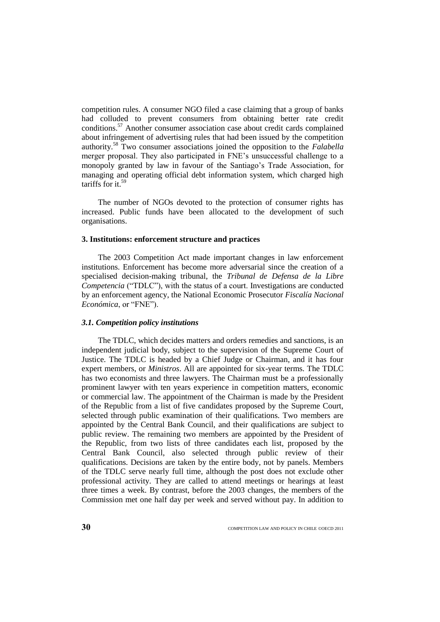competition rules. A consumer NGO filed a case claiming that a group of banks had colluded to prevent consumers from obtaining better rate credit conditions.<sup>57</sup> Another consumer association case about credit cards complained about infringement of advertising rules that had been issued by the competition authority.<sup>58</sup> Two consumer associations joined the opposition to the *Falabella* merger proposal. They also participated in FNE"s unsuccessful challenge to a monopoly granted by law in favour of the Santiago"s Trade Association, for managing and operating official debt information system, which charged high tariffs for it.<sup>59</sup>

The number of NGOs devoted to the protection of consumer rights has increased. Public funds have been allocated to the development of such organisations.

#### **3. Institutions: enforcement structure and practices**

The 2003 Competition Act made important changes in law enforcement institutions. Enforcement has become more adversarial since the creation of a specialised decision-making tribunal, the *Tribunal de Defensa de la Libre Competencia* ("TDLC"), with the status of a court. Investigations are conducted by an enforcement agency, the National Economic Prosecutor *Fiscalía Nacional Económica*, or "FNE").

#### *3.1. Competition policy institutions*

The TDLC, which decides matters and orders remedies and sanctions, is an independent judicial body, subject to the supervision of the Supreme Court of Justice. The TDLC is headed by a Chief Judge or Chairman, and it has four expert members, or *Ministros*. All are appointed for six-year terms. The TDLC has two economists and three lawyers. The Chairman must be a professionally prominent lawyer with ten years experience in competition matters, economic or commercial law. The appointment of the Chairman is made by the President of the Republic from a list of five candidates proposed by the Supreme Court, selected through public examination of their qualifications. Two members are appointed by the Central Bank Council, and their qualifications are subject to public review. The remaining two members are appointed by the President of the Republic, from two lists of three candidates each list, proposed by the Central Bank Council, also selected through public review of their qualifications. Decisions are taken by the entire body, not by panels. Members of the TDLC serve nearly full time, although the post does not exclude other professional activity. They are called to attend meetings or hearings at least three times a week. By contrast, before the 2003 changes, the members of the Commission met one half day per week and served without pay. In addition to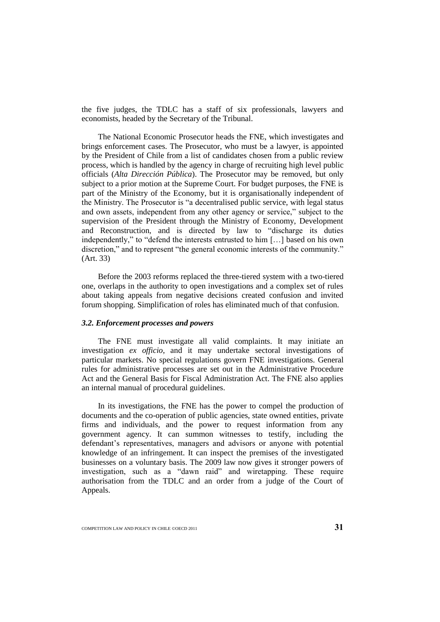the five judges, the TDLC has a staff of six professionals, lawyers and economists, headed by the Secretary of the Tribunal.

The National Economic Prosecutor heads the FNE, which investigates and brings enforcement cases. The Prosecutor, who must be a lawyer, is appointed by the President of Chile from a list of candidates chosen from a public review process, which is handled by the agency in charge of recruiting high level public officials (*Alta Dirección Pública*). The Prosecutor may be removed, but only subject to a prior motion at the Supreme Court. For budget purposes, the FNE is part of the Ministry of the Economy, but it is organisationally independent of the Ministry. The Prosecutor is "a decentralised public service, with legal status and own assets, independent from any other agency or service," subject to the supervision of the President through the Ministry of Economy, Development and Reconstruction, and is directed by law to "discharge its duties independently," to "defend the interests entrusted to him […] based on his own discretion," and to represent "the general economic interests of the community." (Art. 33)

Before the 2003 reforms replaced the three-tiered system with a two-tiered one, overlaps in the authority to open investigations and a complex set of rules about taking appeals from negative decisions created confusion and invited forum shopping. Simplification of roles has eliminated much of that confusion.

#### *3.2. Enforcement processes and powers*

The FNE must investigate all valid complaints. It may initiate an investigation *ex officio*, and it may undertake sectoral investigations of particular markets. No special regulations govern FNE investigations. General rules for administrative processes are set out in the Administrative Procedure Act and the General Basis for Fiscal Administration Act. The FNE also applies an internal manual of procedural guidelines.

In its investigations, the FNE has the power to compel the production of documents and the co-operation of public agencies, state owned entities, private firms and individuals, and the power to request information from any government agency. It can summon witnesses to testify, including the defendant"s representatives, managers and advisors or anyone with potential knowledge of an infringement. It can inspect the premises of the investigated businesses on a voluntary basis. The 2009 law now gives it stronger powers of investigation, such as a "dawn raid" and wiretapping. These require authorisation from the TDLC and an order from a judge of the Court of Appeals.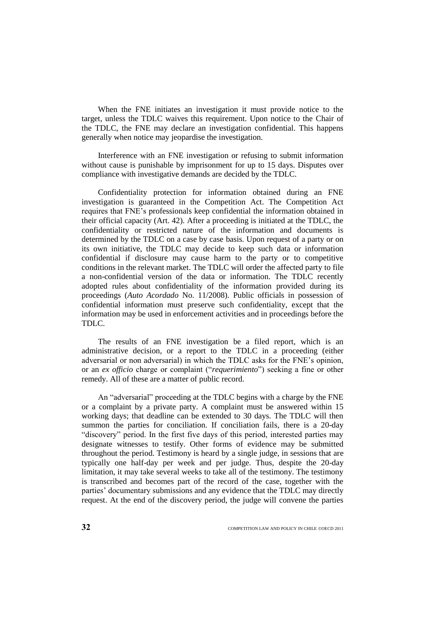When the FNE initiates an investigation it must provide notice to the target, unless the TDLC waives this requirement. Upon notice to the Chair of the TDLC, the FNE may declare an investigation confidential. This happens generally when notice may jeopardise the investigation.

Interference with an FNE investigation or refusing to submit information without cause is punishable by imprisonment for up to 15 days. Disputes over compliance with investigative demands are decided by the TDLC.

Confidentiality protection for information obtained during an FNE investigation is guaranteed in the Competition Act. The Competition Act requires that FNE"s professionals keep confidential the information obtained in their official capacity (Art. 42). After a proceeding is initiated at the TDLC, the confidentiality or restricted nature of the information and documents is determined by the TDLC on a case by case basis. Upon request of a party or on its own initiative, the TDLC may decide to keep such data or information confidential if disclosure may cause harm to the party or to competitive conditions in the relevant market. The TDLC will order the affected party to file a non-confidential version of the data or information. The TDLC recently adopted rules about confidentiality of the information provided during its proceedings (*Auto Acordado* No. 11/2008). Public officials in possession of confidential information must preserve such confidentiality, except that the information may be used in enforcement activities and in proceedings before the TDLC.

The results of an FNE investigation be a filed report, which is an administrative decision, or a report to the TDLC in a proceeding (either adversarial or non adversarial) in which the TDLC asks for the FNE"s opinion, or an *ex officio* charge or complaint ("*requerimiento*") seeking a fine or other remedy. All of these are a matter of public record.

An "adversarial" proceeding at the TDLC begins with a charge by the FNE or a complaint by a private party. A complaint must be answered within 15 working days; that deadline can be extended to 30 days. The TDLC will then summon the parties for conciliation. If conciliation fails, there is a 20-day "discovery" period. In the first five days of this period, interested parties may designate witnesses to testify. Other forms of evidence may be submitted throughout the period. Testimony is heard by a single judge, in sessions that are typically one half-day per week and per judge. Thus, despite the 20-day limitation, it may take several weeks to take all of the testimony. The testimony is transcribed and becomes part of the record of the case, together with the parties" documentary submissions and any evidence that the TDLC may directly request. At the end of the discovery period, the judge will convene the parties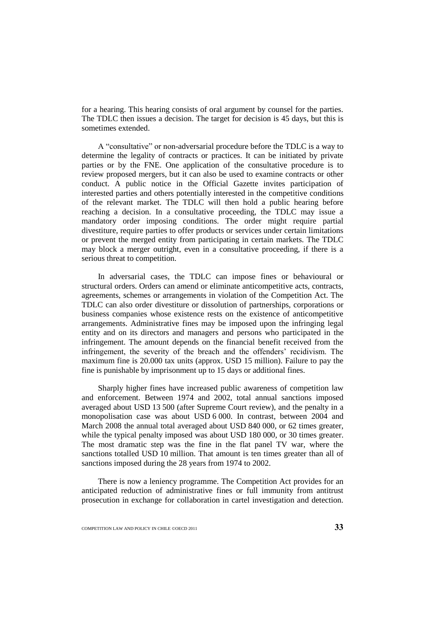for a hearing. This hearing consists of oral argument by counsel for the parties. The TDLC then issues a decision. The target for decision is 45 days, but this is sometimes extended.

A "consultative" or non-adversarial procedure before the TDLC is a way to determine the legality of contracts or practices. It can be initiated by private parties or by the FNE. One application of the consultative procedure is to review proposed mergers, but it can also be used to examine contracts or other conduct. A public notice in the Official Gazette invites participation of interested parties and others potentially interested in the competitive conditions of the relevant market. The TDLC will then hold a public hearing before reaching a decision. In a consultative proceeding, the TDLC may issue a mandatory order imposing conditions. The order might require partial divestiture, require parties to offer products or services under certain limitations or prevent the merged entity from participating in certain markets. The TDLC may block a merger outright, even in a consultative proceeding, if there is a serious threat to competition.

In adversarial cases, the TDLC can impose fines or behavioural or structural orders. Orders can amend or eliminate anticompetitive acts, contracts, agreements, schemes or arrangements in violation of the Competition Act. The TDLC can also order divestiture or dissolution of partnerships, corporations or business companies whose existence rests on the existence of anticompetitive arrangements. Administrative fines may be imposed upon the infringing legal entity and on its directors and managers and persons who participated in the infringement. The amount depends on the financial benefit received from the infringement, the severity of the breach and the offenders' recidivism. The maximum fine is 20.000 tax units (approx. USD 15 million). Failure to pay the fine is punishable by imprisonment up to 15 days or additional fines.

Sharply higher fines have increased public awareness of competition law and enforcement. Between 1974 and 2002, total annual sanctions imposed averaged about USD 13 500 (after Supreme Court review), and the penalty in a monopolisation case was about USD 6 000. In contrast, between 2004 and March 2008 the annual total averaged about USD 840 000, or 62 times greater, while the typical penalty imposed was about USD 180 000, or 30 times greater. The most dramatic step was the fine in the flat panel TV war, where the sanctions totalled USD 10 million. That amount is ten times greater than all of sanctions imposed during the 28 years from 1974 to 2002.

There is now a leniency programme. The Competition Act provides for an anticipated reduction of administrative fines or full immunity from antitrust prosecution in exchange for collaboration in cartel investigation and detection.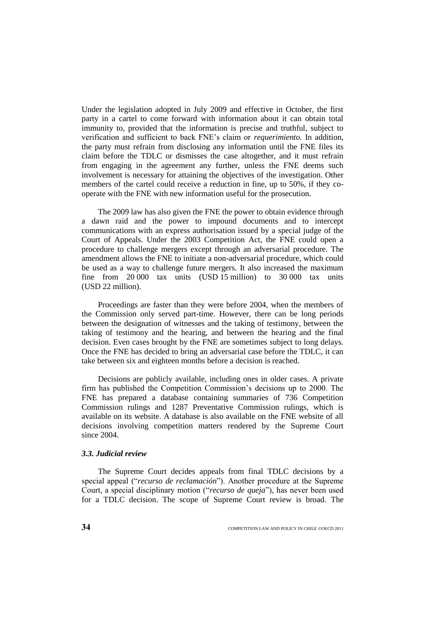Under the legislation adopted in July 2009 and effective in October, the first party in a cartel to come forward with information about it can obtain total immunity to, provided that the information is precise and truthful, subject to verification and sufficient to back FNE"s claim or *requerimiento.* In addition, the party must refrain from disclosing any information until the FNE files its claim before the TDLC or dismisses the case altogether, and it must refrain from engaging in the agreement any further, unless the FNE deems such involvement is necessary for attaining the objectives of the investigation. Other members of the cartel could receive a reduction in fine, up to 50%, if they cooperate with the FNE with new information useful for the prosecution.

The 2009 law has also given the FNE the power to obtain evidence through a dawn raid and the power to impound documents and to intercept communications with an express authorisation issued by a special judge of the Court of Appeals. Under the 2003 Competition Act, the FNE could open a procedure to challenge mergers except through an adversarial procedure. The amendment allows the FNE to initiate a non-adversarial procedure, which could be used as a way to challenge future mergers. It also increased the maximum fine from 20 000 tax units (USD 15 million) to 30 000 tax units (USD 22 million).

Proceedings are faster than they were before 2004, when the members of the Commission only served part-time. However, there can be long periods between the designation of witnesses and the taking of testimony, between the taking of testimony and the hearing, and between the hearing and the final decision. Even cases brought by the FNE are sometimes subject to long delays. Once the FNE has decided to bring an adversarial case before the TDLC, it can take between six and eighteen months before a decision is reached.

Decisions are publicly available, including ones in older cases. A private firm has published the Competition Commission"s decisions up to 2000. The FNE has prepared a database containing summaries of 736 Competition Commission rulings and 1287 Preventative Commission rulings, which is available on its website. A database is also available on the FNE website of all decisions involving competition matters rendered by the Supreme Court since 2004.

#### *3.3. Judicial review*

The Supreme Court decides appeals from final TDLC decisions by a special appeal ("*recurso de reclamación*"). Another procedure at the Supreme Court, a special disciplinary motion ("*recurso de queja*"), has never been used for a TDLC decision. The scope of Supreme Court review is broad. The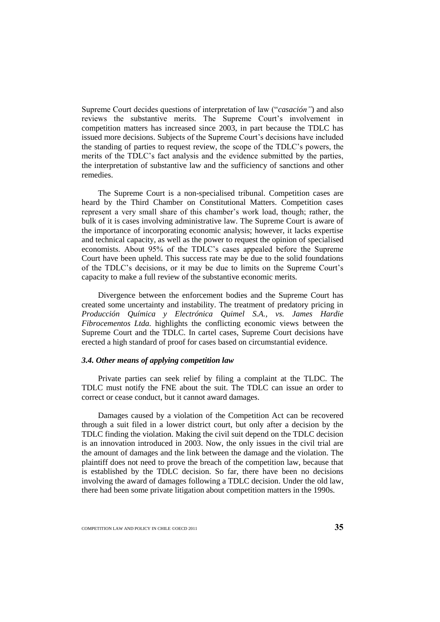Supreme Court decides questions of interpretation of law ("*casación"*) and also reviews the substantive merits. The Supreme Court's involvement in competition matters has increased since 2003, in part because the TDLC has issued more decisions. Subjects of the Supreme Court's decisions have included the standing of parties to request review, the scope of the TDLC"s powers, the merits of the TDLC"s fact analysis and the evidence submitted by the parties, the interpretation of substantive law and the sufficiency of sanctions and other remedies.

The Supreme Court is a non-specialised tribunal. Competition cases are heard by the Third Chamber on Constitutional Matters. Competition cases represent a very small share of this chamber"s work load, though; rather, the bulk of it is cases involving administrative law. The Supreme Court is aware of the importance of incorporating economic analysis; however, it lacks expertise and technical capacity, as well as the power to request the opinion of specialised economists. About 95% of the TDLC"s cases appealed before the Supreme Court have been upheld. This success rate may be due to the solid foundations of the TDLC"s decisions, or it may be due to limits on the Supreme Court"s capacity to make a full review of the substantive economic merits.

Divergence between the enforcement bodies and the Supreme Court has created some uncertainty and instability. The treatment of predatory pricing in *Producción Química y Electrónica Quimel S.A., vs. James Hardie Fibrocementos Ltda.* highlights the conflicting economic views between the Supreme Court and the TDLC. In cartel cases, Supreme Court decisions have erected a high standard of proof for cases based on circumstantial evidence.

#### *3.4. Other means of applying competition law*

Private parties can seek relief by filing a complaint at the TLDC. The TDLC must notify the FNE about the suit. The TDLC can issue an order to correct or cease conduct, but it cannot award damages.

Damages caused by a violation of the Competition Act can be recovered through a suit filed in a lower district court, but only after a decision by the TDLC finding the violation. Making the civil suit depend on the TDLC decision is an innovation introduced in 2003. Now, the only issues in the civil trial are the amount of damages and the link between the damage and the violation. The plaintiff does not need to prove the breach of the competition law, because that is established by the TDLC decision. So far, there have been no decisions involving the award of damages following a TDLC decision. Under the old law, there had been some private litigation about competition matters in the 1990s.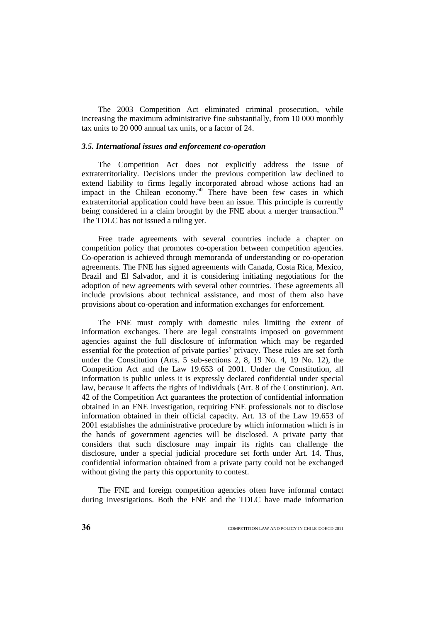The 2003 Competition Act eliminated criminal prosecution, while increasing the maximum administrative fine substantially, from 10 000 monthly tax units to 20 000 annual tax units, or a factor of 24.

#### *3.5. International issues and enforcement co-operation*

The Competition Act does not explicitly address the issue of extraterritoriality. Decisions under the previous competition law declined to extend liability to firms legally incorporated abroad whose actions had an impact in the Chilean economy.<sup>60</sup> There have been few cases in which extraterritorial application could have been an issue. This principle is currently being considered in a claim brought by the FNE about a merger transaction. $61$ The TDLC has not issued a ruling yet.

Free trade agreements with several countries include a chapter on competition policy that promotes co-operation between competition agencies. Co-operation is achieved through memoranda of understanding or co-operation agreements. The FNE has signed agreements with Canada, Costa Rica, Mexico, Brazil and El Salvador, and it is considering initiating negotiations for the adoption of new agreements with several other countries. These agreements all include provisions about technical assistance, and most of them also have provisions about co-operation and information exchanges for enforcement.

The FNE must comply with domestic rules limiting the extent of information exchanges. There are legal constraints imposed on government agencies against the full disclosure of information which may be regarded essential for the protection of private parties' privacy. These rules are set forth under the Constitution (Arts. 5 sub-sections 2, 8, 19 No. 4, 19 No. 12), the Competition Act and the Law 19.653 of 2001. Under the Constitution, all information is public unless it is expressly declared confidential under special law, because it affects the rights of individuals (Art. 8 of the Constitution). Art. 42 of the Competition Act guarantees the protection of confidential information obtained in an FNE investigation, requiring FNE professionals not to disclose information obtained in their official capacity. Art. 13 of the Law 19.653 of 2001 establishes the administrative procedure by which information which is in the hands of government agencies will be disclosed. A private party that considers that such disclosure may impair its rights can challenge the disclosure, under a special judicial procedure set forth under Art. 14. Thus, confidential information obtained from a private party could not be exchanged without giving the party this opportunity to contest.

The FNE and foreign competition agencies often have informal contact during investigations. Both the FNE and the TDLC have made information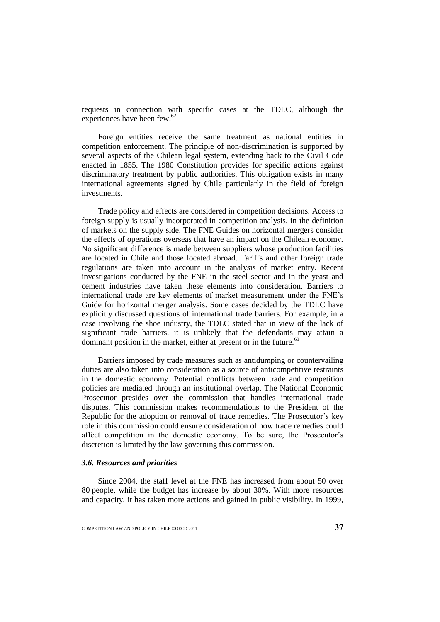requests in connection with specific cases at the TDLC, although the experiences have been few.<sup>62</sup>

Foreign entities receive the same treatment as national entities in competition enforcement. The principle of non-discrimination is supported by several aspects of the Chilean legal system, extending back to the Civil Code enacted in 1855. The 1980 Constitution provides for specific actions against discriminatory treatment by public authorities. This obligation exists in many international agreements signed by Chile particularly in the field of foreign investments.

Trade policy and effects are considered in competition decisions. Access to foreign supply is usually incorporated in competition analysis, in the definition of markets on the supply side. The FNE Guides on horizontal mergers consider the effects of operations overseas that have an impact on the Chilean economy. No significant difference is made between suppliers whose production facilities are located in Chile and those located abroad. Tariffs and other foreign trade regulations are taken into account in the analysis of market entry. Recent investigations conducted by the FNE in the steel sector and in the yeast and cement industries have taken these elements into consideration. Barriers to international trade are key elements of market measurement under the FNE"s Guide for horizontal merger analysis. Some cases decided by the TDLC have explicitly discussed questions of international trade barriers. For example, in a case involving the shoe industry, the TDLC stated that in view of the lack of significant trade barriers, it is unlikely that the defendants may attain a dominant position in the market, either at present or in the future.<sup>63</sup>

Barriers imposed by trade measures such as antidumping or countervailing duties are also taken into consideration as a source of anticompetitive restraints in the domestic economy. Potential conflicts between trade and competition policies are mediated through an institutional overlap. The National Economic Prosecutor presides over the commission that handles international trade disputes. This commission makes recommendations to the President of the Republic for the adoption or removal of trade remedies. The Prosecutor's key role in this commission could ensure consideration of how trade remedies could affect competition in the domestic economy. To be sure, the Prosecutor"s discretion is limited by the law governing this commission.

#### *3.6. Resources and priorities*

Since 2004, the staff level at the FNE has increased from about 50 over 80 people, while the budget has increase by about 30%. With more resources and capacity, it has taken more actions and gained in public visibility. In 1999,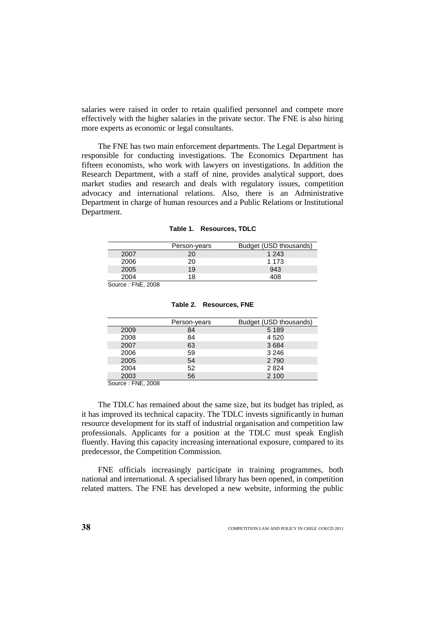salaries were raised in order to retain qualified personnel and compete more effectively with the higher salaries in the private sector. The FNE is also hiring more experts as economic or legal consultants.

The FNE has two main enforcement departments. The Legal Department is responsible for conducting investigations. The Economics Department has fifteen economists, who work with lawyers on investigations. In addition the Research Department, with a staff of nine, provides analytical support, does market studies and research and deals with regulatory issues, competition advocacy and international relations. Also, there is an Administrative Department in charge of human resources and a Public Relations or Institutional Department.

|                                      | Person-years | Budget (USD thousands) |
|--------------------------------------|--------------|------------------------|
| 2007                                 | 20           | 1 2 4 3                |
| 2006                                 | 20           | 1 173                  |
| 2005                                 | 19           | 943                    |
| 2004                                 | 18           | 408                    |
| $P_{\text{out}}$ $\sim$ $EME$ $2000$ |              |                        |

#### **Table 1. Resources, TDLC**

Source : FNE, 2008

|      | Person-years | Budget (USD thousands) |
|------|--------------|------------------------|
| 2009 | 84           | 5 1 8 9                |
| 2008 | 84           | 4 5 2 0                |
| 2007 | 63           | 3684                   |
| 2006 | 59           | 3 2 4 6                |
| 2005 | 54           | 2 7 9 0                |
| 2004 | 52           | 2824                   |
| 2003 | 56           | 2 100                  |

#### **Table 2. Resources, FNE**

Source : FNE, 2008

The TDLC has remained about the same size, but its budget has tripled, as it has improved its technical capacity. The TDLC invests significantly in human resource development for its staff of industrial organisation and competition law professionals. Applicants for a position at the TDLC must speak English fluently. Having this capacity increasing international exposure, compared to its predecessor, the Competition Commission.

FNE officials increasingly participate in training programmes, both national and international. A specialised library has been opened, in competition related matters. The FNE has developed a new website, informing the public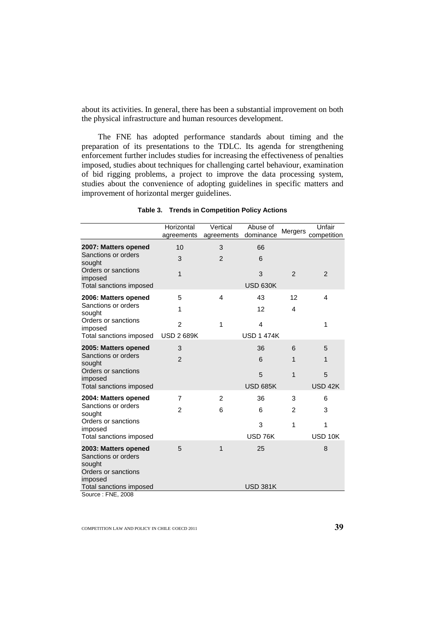about its activities. In general, there has been a substantial improvement on both the physical infrastructure and human resources development.

The FNE has adopted performance standards about timing and the preparation of its presentations to the TDLC. Its agenda for strengthening enforcement further includes studies for increasing the effectiveness of penalties imposed, studies about techniques for challenging cartel behaviour, examination of bid rigging problems, a project to improve the data processing system, studies about the convenience of adopting guidelines in specific matters and improvement of horizontal merger guidelines.

|                                                                                         | Horizontal        | Vertical       | Abuse of          | Mergers        | Unfair         |
|-----------------------------------------------------------------------------------------|-------------------|----------------|-------------------|----------------|----------------|
|                                                                                         | agreements        | agreements     | dominance         |                | competition    |
| 2007: Matters opened                                                                    | 10                | 3              | 66                |                |                |
| Sanctions or orders<br>sought                                                           | 3                 | $\overline{2}$ | 6                 |                |                |
| Orders or sanctions<br>imposed                                                          | 1                 |                | 3                 | $\overline{2}$ | $\overline{2}$ |
| Total sanctions imposed                                                                 |                   |                | <b>USD 630K</b>   |                |                |
| 2006: Matters opened                                                                    | 5                 | 4              | 43                | 12             | $\overline{4}$ |
| Sanctions or orders<br>sought                                                           | 1                 |                | 12                | 4              |                |
| Orders or sanctions<br>imposed                                                          | $\overline{2}$    | 1              | $\overline{4}$    |                | 1              |
| Total sanctions imposed                                                                 | <b>USD 2 689K</b> |                | <b>USD 1 474K</b> |                |                |
| 2005: Matters opened                                                                    | 3                 |                | 36                | 6              | 5              |
| Sanctions or orders<br>sought                                                           | $\overline{2}$    |                | 6                 | 1              | 1              |
| Orders or sanctions<br>imposed                                                          |                   |                | 5                 | 1              | 5              |
| Total sanctions imposed                                                                 |                   |                | <b>USD 685K</b>   |                | USD 42K        |
| 2004: Matters opened                                                                    | $\overline{7}$    | $\overline{2}$ | 36                | 3              | 6              |
| Sanctions or orders<br>sought                                                           | $\overline{2}$    | 6              | 6                 | 2              | 3              |
| Orders or sanctions<br>imposed                                                          |                   |                | 3                 | 1              | 1              |
| Total sanctions imposed                                                                 |                   |                | USD 76K           |                | USD 10K        |
| 2003: Matters opened<br>Sanctions or orders<br>sought<br>Orders or sanctions<br>imposed | 5                 | 1              | 25                |                | 8              |
| Total sanctions imposed                                                                 |                   |                | <b>USD 381K</b>   |                |                |
| Source: FNE, 2008                                                                       |                   |                |                   |                |                |

#### **Table 3. Trends in Competition Policy Actions**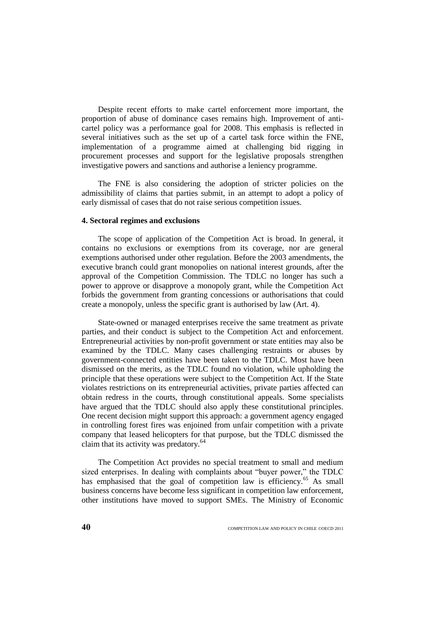Despite recent efforts to make cartel enforcement more important, the proportion of abuse of dominance cases remains high. Improvement of anticartel policy was a performance goal for 2008. This emphasis is reflected in several initiatives such as the set up of a cartel task force within the FNE, implementation of a programme aimed at challenging bid rigging in procurement processes and support for the legislative proposals strengthen investigative powers and sanctions and authorise a leniency programme.

The FNE is also considering the adoption of stricter policies on the admissibility of claims that parties submit, in an attempt to adopt a policy of early dismissal of cases that do not raise serious competition issues.

#### **4. Sectoral regimes and exclusions**

The scope of application of the Competition Act is broad. In general, it contains no exclusions or exemptions from its coverage, nor are general exemptions authorised under other regulation. Before the 2003 amendments, the executive branch could grant monopolies on national interest grounds, after the approval of the Competition Commission. The TDLC no longer has such a power to approve or disapprove a monopoly grant, while the Competition Act forbids the government from granting concessions or authorisations that could create a monopoly, unless the specific grant is authorised by law (Art. 4).

State-owned or managed enterprises receive the same treatment as private parties, and their conduct is subject to the Competition Act and enforcement. Entrepreneurial activities by non-profit government or state entities may also be examined by the TDLC. Many cases challenging restraints or abuses by government-connected entities have been taken to the TDLC. Most have been dismissed on the merits, as the TDLC found no violation, while upholding the principle that these operations were subject to the Competition Act. If the State violates restrictions on its entrepreneurial activities, private parties affected can obtain redress in the courts, through constitutional appeals. Some specialists have argued that the TDLC should also apply these constitutional principles. One recent decision might support this approach: a government agency engaged in controlling forest fires was enjoined from unfair competition with a private company that leased helicopters for that purpose, but the TDLC dismissed the claim that its activity was predatory.<sup>64</sup>

The Competition Act provides no special treatment to small and medium sized enterprises. In dealing with complaints about "buyer power," the TDLC has emphasised that the goal of competition law is efficiency.<sup>65</sup> As small business concerns have become less significant in competition law enforcement, other institutions have moved to support SMEs. The Ministry of Economic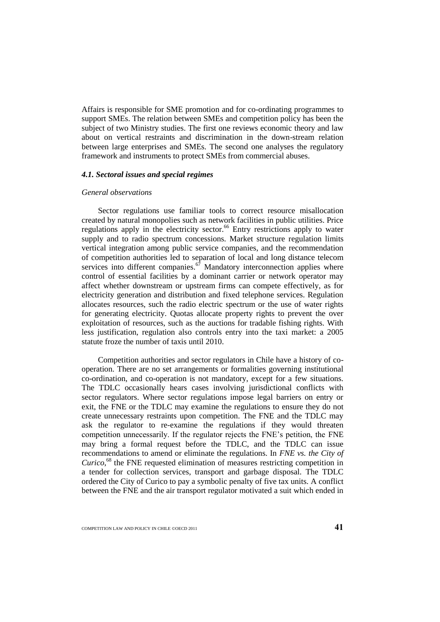Affairs is responsible for SME promotion and for co-ordinating programmes to support SMEs. The relation between SMEs and competition policy has been the subject of two Ministry studies. The first one reviews economic theory and law about on vertical restraints and discrimination in the down-stream relation between large enterprises and SMEs. The second one analyses the regulatory framework and instruments to protect SMEs from commercial abuses.

#### *4.1. Sectoral issues and special regimes*

#### *General observations*

Sector regulations use familiar tools to correct resource misallocation created by natural monopolies such as network facilities in public utilities. Price regulations apply in the electricity sector.<sup>66</sup> Entry restrictions apply to water supply and to radio spectrum concessions. Market structure regulation limits vertical integration among public service companies, and the recommendation of competition authorities led to separation of local and long distance telecom services into different companies.<sup>67</sup> Mandatory interconnection applies where control of essential facilities by a dominant carrier or network operator may affect whether downstream or upstream firms can compete effectively, as for electricity generation and distribution and fixed telephone services. Regulation allocates resources, such the radio electric spectrum or the use of water rights for generating electricity. Quotas allocate property rights to prevent the over exploitation of resources, such as the auctions for tradable fishing rights. With less justification, regulation also controls entry into the taxi market: a 2005 statute froze the number of taxis until 2010.

Competition authorities and sector regulators in Chile have a history of cooperation. There are no set arrangements or formalities governing institutional co-ordination, and co-operation is not mandatory, except for a few situations. The TDLC occasionally hears cases involving jurisdictional conflicts with sector regulators. Where sector regulations impose legal barriers on entry or exit, the FNE or the TDLC may examine the regulations to ensure they do not create unnecessary restraints upon competition. The FNE and the TDLC may ask the regulator to re-examine the regulations if they would threaten competition unnecessarily. If the regulator rejects the FNE"s petition, the FNE may bring a formal request before the TDLC, and the TDLC can issue recommendations to amend or eliminate the regulations. In *FNE vs. the City of Curico*, <sup>68</sup> the FNE requested elimination of measures restricting competition in a tender for collection services, transport and garbage disposal. The TDLC ordered the City of Curico to pay a symbolic penalty of five tax units. A conflict between the FNE and the air transport regulator motivated a suit which ended in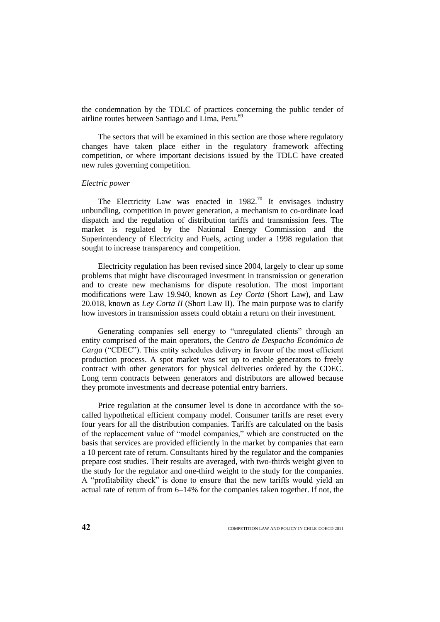the condemnation by the TDLC of practices concerning the public tender of airline routes between Santiago and Lima, Peru.<sup>69</sup>

The sectors that will be examined in this section are those where regulatory changes have taken place either in the regulatory framework affecting competition, or where important decisions issued by the TDLC have created new rules governing competition.

#### *Electric power*

The Electricity Law was enacted in  $1982$ <sup>70</sup> It envisages industry unbundling, competition in power generation, a mechanism to co-ordinate load dispatch and the regulation of distribution tariffs and transmission fees. The market is regulated by the National Energy Commission and the Superintendency of Electricity and Fuels, acting under a 1998 regulation that sought to increase transparency and competition.

Electricity regulation has been revised since 2004, largely to clear up some problems that might have discouraged investment in transmission or generation and to create new mechanisms for dispute resolution. The most important modifications were Law 19.940, known as *Ley Corta* (Short Law), and Law 20.018, known as *Ley Corta II* (Short Law II). The main purpose was to clarify how investors in transmission assets could obtain a return on their investment.

Generating companies sell energy to "unregulated clients" through an entity comprised of the main operators, the *Centro de Despacho Económico de Carga* ("CDEC"). This entity schedules delivery in favour of the most efficient production process. A spot market was set up to enable generators to freely contract with other generators for physical deliveries ordered by the CDEC. Long term contracts between generators and distributors are allowed because they promote investments and decrease potential entry barriers.

Price regulation at the consumer level is done in accordance with the socalled hypothetical efficient company model. Consumer tariffs are reset every four years for all the distribution companies. Tariffs are calculated on the basis of the replacement value of "model companies," which are constructed on the basis that services are provided efficiently in the market by companies that earn a 10 percent rate of return. Consultants hired by the regulator and the companies prepare cost studies. Their results are averaged, with two-thirds weight given to the study for the regulator and one-third weight to the study for the companies. A "profitability check" is done to ensure that the new tariffs would yield an actual rate of return of from 6–14% for the companies taken together. If not, the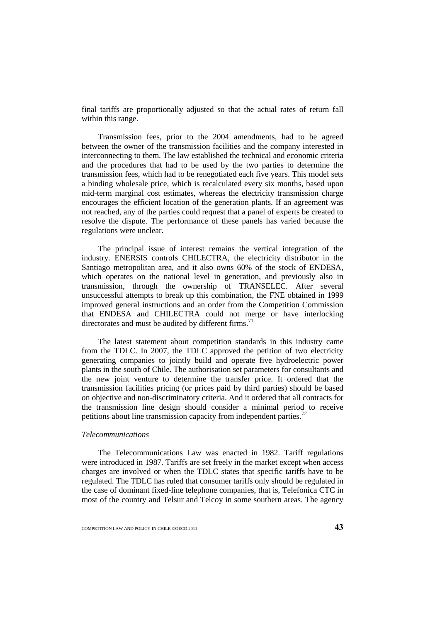final tariffs are proportionally adjusted so that the actual rates of return fall within this range.

Transmission fees, prior to the 2004 amendments, had to be agreed between the owner of the transmission facilities and the company interested in interconnecting to them. The law established the technical and economic criteria and the procedures that had to be used by the two parties to determine the transmission fees, which had to be renegotiated each five years. This model sets a binding wholesale price, which is recalculated every six months, based upon mid-term marginal cost estimates, whereas the electricity transmission charge encourages the efficient location of the generation plants. If an agreement was not reached, any of the parties could request that a panel of experts be created to resolve the dispute. The performance of these panels has varied because the regulations were unclear.

The principal issue of interest remains the vertical integration of the industry. ENERSIS controls CHILECTRA, the electricity distributor in the Santiago metropolitan area, and it also owns 60% of the stock of ENDESA, which operates on the national level in generation, and previously also in transmission, through the ownership of TRANSELEC. After several unsuccessful attempts to break up this combination, the FNE obtained in 1999 improved general instructions and an order from the Competition Commission that ENDESA and CHILECTRA could not merge or have interlocking directorates and must be audited by different firms.<sup>71</sup>

The latest statement about competition standards in this industry came from the TDLC. In 2007, the TDLC approved the petition of two electricity generating companies to jointly build and operate five hydroelectric power plants in the south of Chile. The authorisation set parameters for consultants and the new joint venture to determine the transfer price. It ordered that the transmission facilities pricing (or prices paid by third parties) should be based on objective and non-discriminatory criteria. And it ordered that all contracts for the transmission line design should consider a minimal period to receive petitions about line transmission capacity from independent parties.<sup>72</sup>

#### *Telecommunications*

The Telecommunications Law was enacted in 1982. Tariff regulations were introduced in 1987. Tariffs are set freely in the market except when access charges are involved or when the TDLC states that specific tariffs have to be regulated. The TDLC has ruled that consumer tariffs only should be regulated in the case of dominant fixed-line telephone companies, that is, Telefonica CTC in most of the country and Telsur and Telcoy in some southern areas. The agency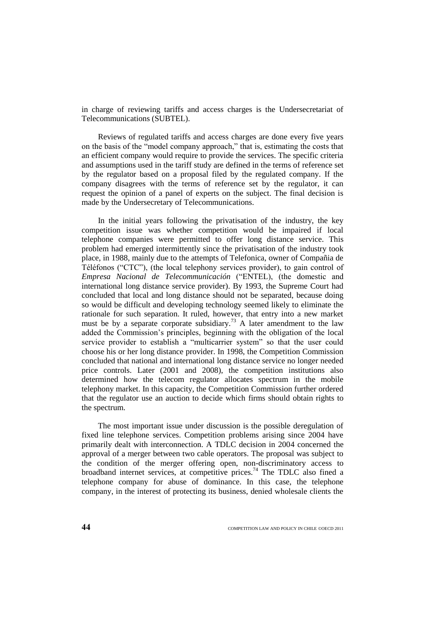in charge of reviewing tariffs and access charges is the Undersecretariat of Telecommunications (SUBTEL).

Reviews of regulated tariffs and access charges are done every five years on the basis of the "model company approach," that is, estimating the costs that an efficient company would require to provide the services. The specific criteria and assumptions used in the tariff study are defined in the terms of reference set by the regulator based on a proposal filed by the regulated company. If the company disagrees with the terms of reference set by the regulator, it can request the opinion of a panel of experts on the subject. The final decision is made by the Undersecretary of Telecommunications.

In the initial years following the privatisation of the industry, the key competition issue was whether competition would be impaired if local telephone companies were permitted to offer long distance service. This problem had emerged intermittently since the privatisation of the industry took place, in 1988, mainly due to the attempts of Telefonica, owner of Compañia de Téléfonos ("CTC"), (the local telephony services provider), to gain control of *Empresa Nacional de Telecommunicación* ("ENTEL), (the domestic and international long distance service provider). By 1993, the Supreme Court had concluded that local and long distance should not be separated, because doing so would be difficult and developing technology seemed likely to eliminate the rationale for such separation. It ruled, however, that entry into a new market must be by a separate corporate subsidiary.<sup>73</sup> A later amendment to the law added the Commission"s principles, beginning with the obligation of the local service provider to establish a "multicarrier system" so that the user could choose his or her long distance provider. In 1998, the Competition Commission concluded that national and international long distance service no longer needed price controls. Later (2001 and 2008), the competition institutions also determined how the telecom regulator allocates spectrum in the mobile telephony market. In this capacity, the Competition Commission further ordered that the regulator use an auction to decide which firms should obtain rights to the spectrum.

The most important issue under discussion is the possible deregulation of fixed line telephone services. Competition problems arising since 2004 have primarily dealt with interconnection. A TDLC decision in 2004 concerned the approval of a merger between two cable operators. The proposal was subject to the condition of the merger offering open, non-discriminatory access to broadband internet services, at competitive prices.<sup>74</sup> The TDLC also fined a telephone company for abuse of dominance. In this case, the telephone company, in the interest of protecting its business, denied wholesale clients the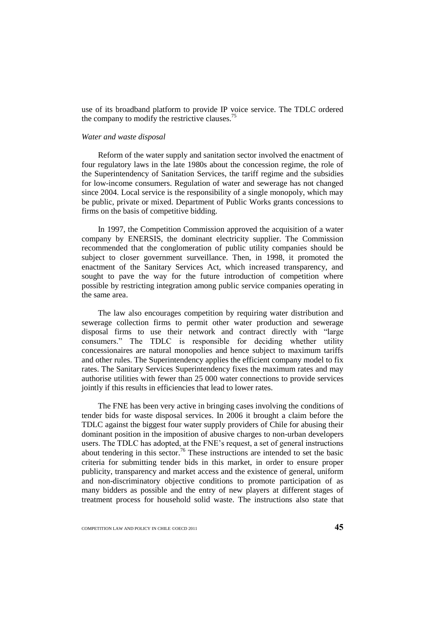use of its broadband platform to provide IP voice service. The TDLC ordered the company to modify the restrictive clauses.<sup>75</sup>

#### *Water and waste disposal*

Reform of the water supply and sanitation sector involved the enactment of four regulatory laws in the late 1980s about the concession regime, the role of the Superintendency of Sanitation Services, the tariff regime and the subsidies for low-income consumers. Regulation of water and sewerage has not changed since 2004. Local service is the responsibility of a single monopoly, which may be public, private or mixed. Department of Public Works grants concessions to firms on the basis of competitive bidding.

In 1997, the Competition Commission approved the acquisition of a water company by ENERSIS, the dominant electricity supplier. The Commission recommended that the conglomeration of public utility companies should be subject to closer government surveillance. Then, in 1998, it promoted the enactment of the Sanitary Services Act, which increased transparency, and sought to pave the way for the future introduction of competition where possible by restricting integration among public service companies operating in the same area.

The law also encourages competition by requiring water distribution and sewerage collection firms to permit other water production and sewerage disposal firms to use their network and contract directly with "large consumers." The TDLC is responsible for deciding whether utility concessionaires are natural monopolies and hence subject to maximum tariffs and other rules. The Superintendency applies the efficient company model to fix rates. The Sanitary Services Superintendency fixes the maximum rates and may authorise utilities with fewer than 25 000 water connections to provide services jointly if this results in efficiencies that lead to lower rates.

The FNE has been very active in bringing cases involving the conditions of tender bids for waste disposal services. In 2006 it brought a claim before the TDLC against the biggest four water supply providers of Chile for abusing their dominant position in the imposition of abusive charges to non-urban developers users. The TDLC has adopted, at the FNE"s request, a set of general instructions about tendering in this sector.<sup>76</sup> These instructions are intended to set the basic criteria for submitting tender bids in this market, in order to ensure proper publicity, transparency and market access and the existence of general, uniform and non-discriminatory objective conditions to promote participation of as many bidders as possible and the entry of new players at different stages of treatment process for household solid waste. The instructions also state that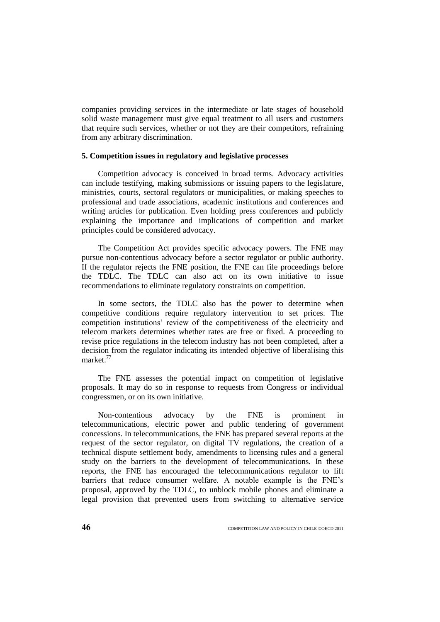companies providing services in the intermediate or late stages of household solid waste management must give equal treatment to all users and customers that require such services, whether or not they are their competitors, refraining from any arbitrary discrimination.

#### **5. Competition issues in regulatory and legislative processes**

Competition advocacy is conceived in broad terms. Advocacy activities can include testifying, making submissions or issuing papers to the legislature, ministries, courts, sectoral regulators or municipalities, or making speeches to professional and trade associations, academic institutions and conferences and writing articles for publication. Even holding press conferences and publicly explaining the importance and implications of competition and market principles could be considered advocacy.

The Competition Act provides specific advocacy powers. The FNE may pursue non-contentious advocacy before a sector regulator or public authority. If the regulator rejects the FNE position, the FNE can file proceedings before the TDLC. The TDLC can also act on its own initiative to issue recommendations to eliminate regulatory constraints on competition.

In some sectors, the TDLC also has the power to determine when competitive conditions require regulatory intervention to set prices. The competition institutions" review of the competitiveness of the electricity and telecom markets determines whether rates are free or fixed. A proceeding to revise price regulations in the telecom industry has not been completed, after a decision from the regulator indicating its intended objective of liberalising this market.<sup>77</sup>

The FNE assesses the potential impact on competition of legislative proposals. It may do so in response to requests from Congress or individual congressmen, or on its own initiative.

Non-contentious advocacy by the FNE is prominent in telecommunications, electric power and public tendering of government concessions. In telecommunications, the FNE has prepared several reports at the request of the sector regulator, on digital TV regulations, the creation of a technical dispute settlement body, amendments to licensing rules and a general study on the barriers to the development of telecommunications. In these reports, the FNE has encouraged the telecommunications regulator to lift barriers that reduce consumer welfare. A notable example is the FNE"s proposal, approved by the TDLC, to unblock mobile phones and eliminate a legal provision that prevented users from switching to alternative service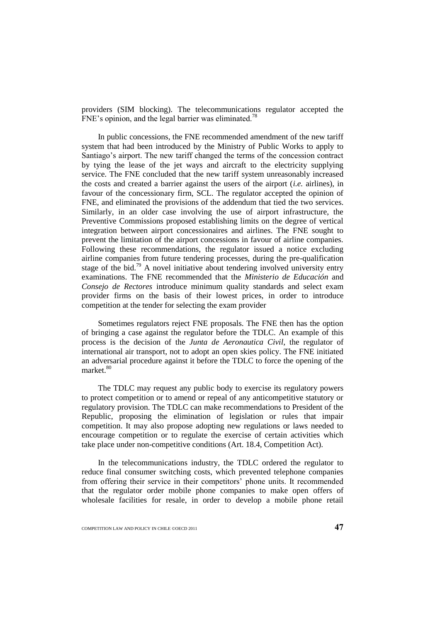providers (SIM blocking). The telecommunications regulator accepted the FNE's opinion, and the legal barrier was eliminated.<sup>78</sup>

In public concessions, the FNE recommended amendment of the new tariff system that had been introduced by the Ministry of Public Works to apply to Santiago"s airport. The new tariff changed the terms of the concession contract by tying the lease of the jet ways and aircraft to the electricity supplying service. The FNE concluded that the new tariff system unreasonably increased the costs and created a barrier against the users of the airport (*i.e.* airlines), in favour of the concessionary firm, SCL. The regulator accepted the opinion of FNE, and eliminated the provisions of the addendum that tied the two services. Similarly, in an older case involving the use of airport infrastructure, the Preventive Commissions proposed establishing limits on the degree of vertical integration between airport concessionaires and airlines. The FNE sought to prevent the limitation of the airport concessions in favour of airline companies. Following these recommendations, the regulator issued a notice excluding airline companies from future tendering processes, during the pre-qualification stage of the bid.<sup>79</sup> A novel initiative about tendering involved university entry examinations. The FNE recommended that the *Ministerio de Educación* and *Consejo de Rectores* introduce minimum quality standards and select exam provider firms on the basis of their lowest prices, in order to introduce competition at the tender for selecting the exam provider

Sometimes regulators reject FNE proposals. The FNE then has the option of bringing a case against the regulator before the TDLC. An example of this process is the decision of the *Junta de Aeronautica Civil*, the regulator of international air transport, not to adopt an open skies policy. The FNE initiated an adversarial procedure against it before the TDLC to force the opening of the market.<sup>80</sup>

The TDLC may request any public body to exercise its regulatory powers to protect competition or to amend or repeal of any anticompetitive statutory or regulatory provision. The TDLC can make recommendations to President of the Republic, proposing the elimination of legislation or rules that impair competition. It may also propose adopting new regulations or laws needed to encourage competition or to regulate the exercise of certain activities which take place under non-competitive conditions (Art. 18.4, Competition Act).

In the telecommunications industry, the TDLC ordered the regulator to reduce final consumer switching costs, which prevented telephone companies from offering their service in their competitors' phone units. It recommended that the regulator order mobile phone companies to make open offers of wholesale facilities for resale, in order to develop a mobile phone retail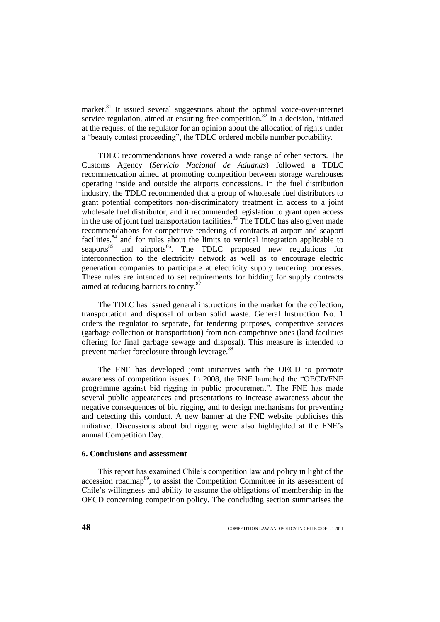market. $81$  It issued several suggestions about the optimal voice-over-internet service regulation, aimed at ensuring free competition.<sup>82</sup> In a decision, initiated at the request of the regulator for an opinion about the allocation of rights under a "beauty contest proceeding", the TDLC ordered mobile number portability.

TDLC recommendations have covered a wide range of other sectors. The Customs Agency (*Servicio Nacional de Aduanas*) followed a TDLC recommendation aimed at promoting competition between storage warehouses operating inside and outside the airports concessions. In the fuel distribution industry, the TDLC recommended that a group of wholesale fuel distributors to grant potential competitors non-discriminatory treatment in access to a joint wholesale fuel distributor, and it recommended legislation to grant open access in the use of joint fuel transportation facilities. $83$  The TDLC has also given made recommendations for competitive tendering of contracts at airport and seaport facilities,<sup>84</sup> and for rules about the limits to vertical integration applicable to seaports<sup>85</sup> and airports<sup>86</sup>. The TDLC proposed new regulations for interconnection to the electricity network as well as to encourage electric generation companies to participate at electricity supply tendering processes. These rules are intended to set requirements for bidding for supply contracts aimed at reducing barriers to entry.<sup>8</sup>

The TDLC has issued general instructions in the market for the collection, transportation and disposal of urban solid waste. General Instruction No. 1 orders the regulator to separate, for tendering purposes, competitive services (garbage collection or transportation) from non-competitive ones (land facilities offering for final garbage sewage and disposal). This measure is intended to prevent market foreclosure through leverage.<sup>88</sup>

The FNE has developed joint initiatives with the OECD to promote awareness of competition issues. In 2008, the FNE launched the "OECD/FNE programme against bid rigging in public procurement". The FNE has made several public appearances and presentations to increase awareness about the negative consequences of bid rigging, and to design mechanisms for preventing and detecting this conduct. A new banner at the FNE website publicises this initiative. Discussions about bid rigging were also highlighted at the FNE"s annual Competition Day.

#### **6. Conclusions and assessment**

This report has examined Chile"s competition law and policy in light of the accession roadmap<sup>89</sup>, to assist the Competition Committee in its assessment of Chile"s willingness and ability to assume the obligations of membership in the OECD concerning competition policy. The concluding section summarises the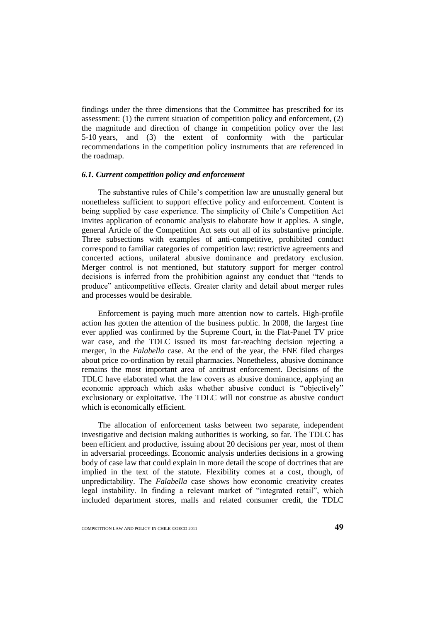findings under the three dimensions that the Committee has prescribed for its assessment: (1) the current situation of competition policy and enforcement, (2) the magnitude and direction of change in competition policy over the last 5-10 years, and (3) the extent of conformity with the particular recommendations in the competition policy instruments that are referenced in the roadmap.

#### *6.1. Current competition policy and enforcement*

The substantive rules of Chile"s competition law are unusually general but nonetheless sufficient to support effective policy and enforcement. Content is being supplied by case experience. The simplicity of Chile"s Competition Act invites application of economic analysis to elaborate how it applies. A single, general Article of the Competition Act sets out all of its substantive principle. Three subsections with examples of anti-competitive, prohibited conduct correspond to familiar categories of competition law: restrictive agreements and concerted actions, unilateral abusive dominance and predatory exclusion. Merger control is not mentioned, but statutory support for merger control decisions is inferred from the prohibition against any conduct that "tends to produce" anticompetitive effects. Greater clarity and detail about merger rules and processes would be desirable.

Enforcement is paying much more attention now to cartels. High-profile action has gotten the attention of the business public. In 2008, the largest fine ever applied was confirmed by the Supreme Court, in the Flat-Panel TV price war case, and the TDLC issued its most far-reaching decision rejecting a merger, in the *Falabella* case. At the end of the year, the FNE filed charges about price co-ordination by retail pharmacies. Nonetheless, abusive dominance remains the most important area of antitrust enforcement. Decisions of the TDLC have elaborated what the law covers as abusive dominance, applying an economic approach which asks whether abusive conduct is "objectively" exclusionary or exploitative. The TDLC will not construe as abusive conduct which is economically efficient.

The allocation of enforcement tasks between two separate, independent investigative and decision making authorities is working, so far. The TDLC has been efficient and productive, issuing about 20 decisions per year, most of them in adversarial proceedings. Economic analysis underlies decisions in a growing body of case law that could explain in more detail the scope of doctrines that are implied in the text of the statute. Flexibility comes at a cost, though, of unpredictability. The *Falabella* case shows how economic creativity creates legal instability. In finding a relevant market of "integrated retail", which included department stores, malls and related consumer credit, the TDLC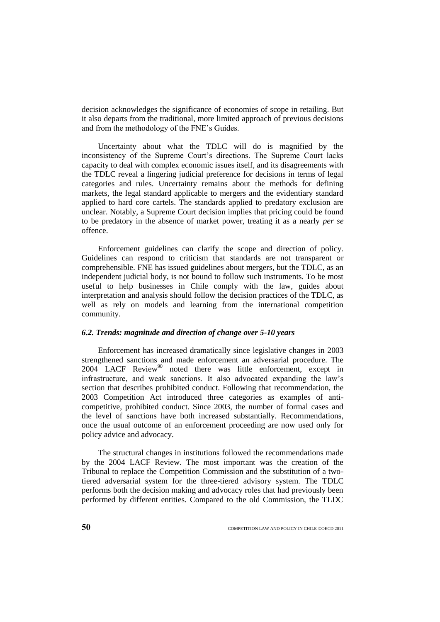decision acknowledges the significance of economies of scope in retailing. But it also departs from the traditional, more limited approach of previous decisions and from the methodology of the FNE"s Guides.

Uncertainty about what the TDLC will do is magnified by the inconsistency of the Supreme Court's directions. The Supreme Court lacks capacity to deal with complex economic issues itself, and its disagreements with the TDLC reveal a lingering judicial preference for decisions in terms of legal categories and rules. Uncertainty remains about the methods for defining markets, the legal standard applicable to mergers and the evidentiary standard applied to hard core cartels. The standards applied to predatory exclusion are unclear. Notably, a Supreme Court decision implies that pricing could be found to be predatory in the absence of market power, treating it as a nearly *per se*  offence.

Enforcement guidelines can clarify the scope and direction of policy. Guidelines can respond to criticism that standards are not transparent or comprehensible. FNE has issued guidelines about mergers, but the TDLC, as an independent judicial body, is not bound to follow such instruments. To be most useful to help businesses in Chile comply with the law, guides about interpretation and analysis should follow the decision practices of the TDLC, as well as rely on models and learning from the international competition community.

#### *6.2. Trends: magnitude and direction of change over 5-10 years*

Enforcement has increased dramatically since legislative changes in 2003 strengthened sanctions and made enforcement an adversarial procedure. The 2004 LACF Review<sup>90</sup> noted there was little enforcement, except in infrastructure, and weak sanctions. It also advocated expanding the law"s section that describes prohibited conduct. Following that recommendation, the 2003 Competition Act introduced three categories as examples of anticompetitive, prohibited conduct. Since 2003, the number of formal cases and the level of sanctions have both increased substantially. Recommendations, once the usual outcome of an enforcement proceeding are now used only for policy advice and advocacy.

The structural changes in institutions followed the recommendations made by the 2004 LACF Review. The most important was the creation of the Tribunal to replace the Competition Commission and the substitution of a twotiered adversarial system for the three-tiered advisory system. The TDLC performs both the decision making and advocacy roles that had previously been performed by different entities. Compared to the old Commission, the TLDC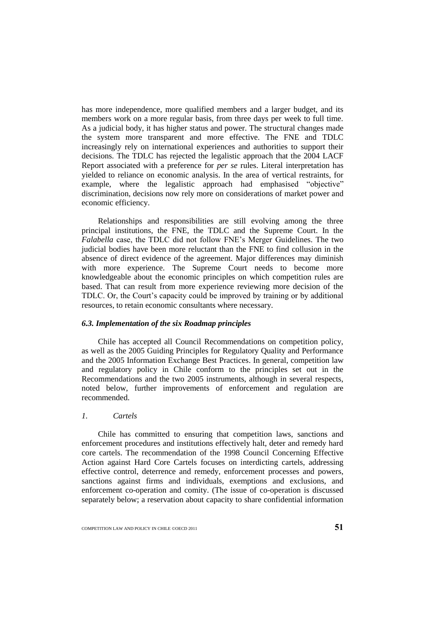has more independence, more qualified members and a larger budget, and its members work on a more regular basis, from three days per week to full time. As a judicial body, it has higher status and power. The structural changes made the system more transparent and more effective. The FNE and TDLC increasingly rely on international experiences and authorities to support their decisions. The TDLC has rejected the legalistic approach that the 2004 LACF Report associated with a preference for *per se* rules. Literal interpretation has yielded to reliance on economic analysis. In the area of vertical restraints, for example, where the legalistic approach had emphasised "objective" discrimination, decisions now rely more on considerations of market power and economic efficiency.

Relationships and responsibilities are still evolving among the three principal institutions, the FNE, the TDLC and the Supreme Court. In the *Falabella* case, the TDLC did not follow FNE"s Merger Guidelines. The two judicial bodies have been more reluctant than the FNE to find collusion in the absence of direct evidence of the agreement. Major differences may diminish with more experience. The Supreme Court needs to become more knowledgeable about the economic principles on which competition rules are based. That can result from more experience reviewing more decision of the TDLC. Or, the Court's capacity could be improved by training or by additional resources, to retain economic consultants where necessary.

#### *6.3. Implementation of the six Roadmap principles*

Chile has accepted all Council Recommendations on competition policy, as well as the 2005 Guiding Principles for Regulatory Quality and Performance and the 2005 Information Exchange Best Practices. In general, competition law and regulatory policy in Chile conform to the principles set out in the Recommendations and the two 2005 instruments, although in several respects, noted below, further improvements of enforcement and regulation are recommended.

#### *1. Cartels*

Chile has committed to ensuring that competition laws, sanctions and enforcement procedures and institutions effectively halt, deter and remedy hard core cartels. The recommendation of the 1998 Council Concerning Effective Action against Hard Core Cartels focuses on interdicting cartels, addressing effective control, deterrence and remedy, enforcement processes and powers, sanctions against firms and individuals, exemptions and exclusions, and enforcement co-operation and comity. (The issue of co-operation is discussed separately below; a reservation about capacity to share confidential information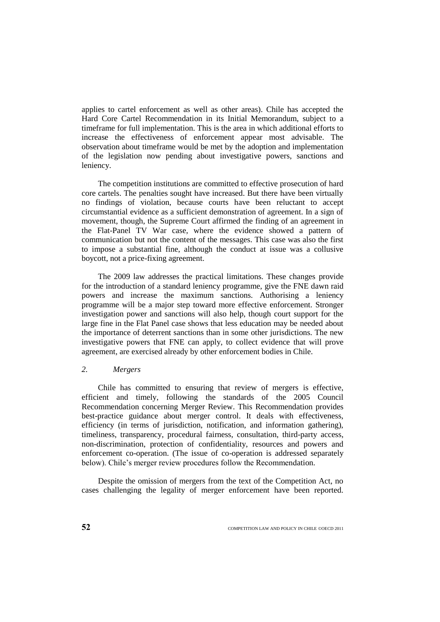applies to cartel enforcement as well as other areas). Chile has accepted the Hard Core Cartel Recommendation in its Initial Memorandum, subject to a timeframe for full implementation. This is the area in which additional efforts to increase the effectiveness of enforcement appear most advisable. The observation about timeframe would be met by the adoption and implementation of the legislation now pending about investigative powers, sanctions and leniency.

The competition institutions are committed to effective prosecution of hard core cartels. The penalties sought have increased. But there have been virtually no findings of violation, because courts have been reluctant to accept circumstantial evidence as a sufficient demonstration of agreement. In a sign of movement, though, the Supreme Court affirmed the finding of an agreement in the Flat-Panel TV War case, where the evidence showed a pattern of communication but not the content of the messages. This case was also the first to impose a substantial fine, although the conduct at issue was a collusive boycott, not a price-fixing agreement.

The 2009 law addresses the practical limitations. These changes provide for the introduction of a standard leniency programme, give the FNE dawn raid powers and increase the maximum sanctions. Authorising a leniency programme will be a major step toward more effective enforcement. Stronger investigation power and sanctions will also help, though court support for the large fine in the Flat Panel case shows that less education may be needed about the importance of deterrent sanctions than in some other jurisdictions. The new investigative powers that FNE can apply, to collect evidence that will prove agreement, are exercised already by other enforcement bodies in Chile.

#### *2. Mergers*

Chile has committed to ensuring that review of mergers is effective, efficient and timely, following the standards of the 2005 Council Recommendation concerning Merger Review. This Recommendation provides best-practice guidance about merger control. It deals with effectiveness, efficiency (in terms of jurisdiction, notification, and information gathering), timeliness, transparency, procedural fairness, consultation, third-party access, non-discrimination, protection of confidentiality, resources and powers and enforcement co-operation. (The issue of co-operation is addressed separately below). Chile's merger review procedures follow the Recommendation.

Despite the omission of mergers from the text of the Competition Act, no cases challenging the legality of merger enforcement have been reported.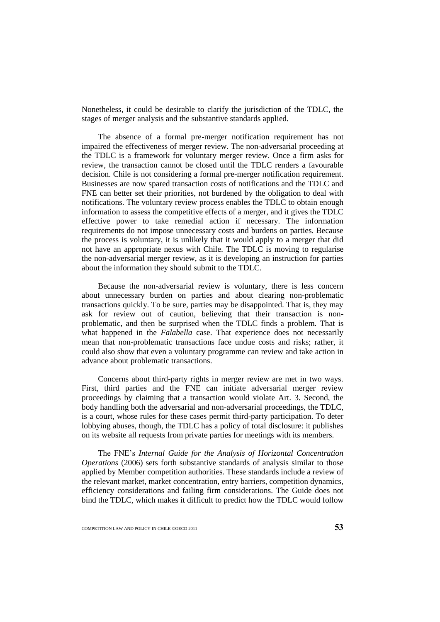Nonetheless, it could be desirable to clarify the jurisdiction of the TDLC, the stages of merger analysis and the substantive standards applied.

The absence of a formal pre-merger notification requirement has not impaired the effectiveness of merger review. The non-adversarial proceeding at the TDLC is a framework for voluntary merger review. Once a firm asks for review, the transaction cannot be closed until the TDLC renders a favourable decision. Chile is not considering a formal pre-merger notification requirement. Businesses are now spared transaction costs of notifications and the TDLC and FNE can better set their priorities, not burdened by the obligation to deal with notifications. The voluntary review process enables the TDLC to obtain enough information to assess the competitive effects of a merger, and it gives the TDLC effective power to take remedial action if necessary. The information requirements do not impose unnecessary costs and burdens on parties. Because the process is voluntary, it is unlikely that it would apply to a merger that did not have an appropriate nexus with Chile. The TDLC is moving to regularise the non-adversarial merger review, as it is developing an instruction for parties about the information they should submit to the TDLC.

Because the non-adversarial review is voluntary, there is less concern about unnecessary burden on parties and about clearing non-problematic transactions quickly. To be sure, parties may be disappointed. That is, they may ask for review out of caution, believing that their transaction is nonproblematic, and then be surprised when the TDLC finds a problem. That is what happened in the *Falabella* case. That experience does not necessarily mean that non-problematic transactions face undue costs and risks; rather, it could also show that even a voluntary programme can review and take action in advance about problematic transactions.

Concerns about third-party rights in merger review are met in two ways. First, third parties and the FNE can initiate adversarial merger review proceedings by claiming that a transaction would violate Art. 3. Second, the body handling both the adversarial and non-adversarial proceedings, the TDLC, is a court, whose rules for these cases permit third-party participation. To deter lobbying abuses, though, the TDLC has a policy of total disclosure: it publishes on its website all requests from private parties for meetings with its members.

The FNE"s *Internal Guide for the Analysis of Horizontal Concentration Operations* (2006) sets forth substantive standards of analysis similar to those applied by Member competition authorities. These standards include a review of the relevant market, market concentration, entry barriers, competition dynamics, efficiency considerations and failing firm considerations. The Guide does not bind the TDLC, which makes it difficult to predict how the TDLC would follow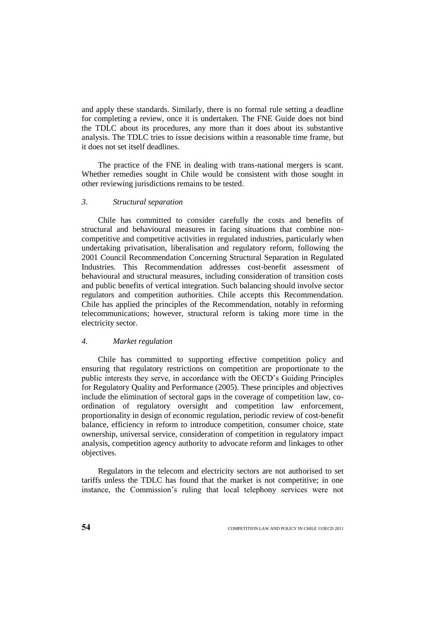and apply these standards. Similarly, there is no formal rule setting a deadline for completing a review, once it is undertaken. The FNE Guide does not bind the TDLC about its procedures, any more than it does about its substantive analysis. The TDLC tries to issue decisions within a reasonable time frame, but it does not set itself deadlines.

The practice of the FNE in dealing with trans-national mergers is scant. Whether remedies sought in Chile would be consistent with those sought in other reviewing jurisdictions remains to be tested.

#### *3. Structural separation*

Chile has committed to consider carefully the costs and benefits of structural and behavioural measures in facing situations that combine noncompetitive and competitive activities in regulated industries, particularly when undertaking privatisation, liberalisation and regulatory reform, following the 2001 Council Recommendation Concerning Structural Separation in Regulated Industries. This Recommendation addresses cost-benefit assessment of behavioural and structural measures, including consideration of transition costs and public benefits of vertical integration. Such balancing should involve sector regulators and competition authorities. Chile accepts this Recommendation. Chile has applied the principles of the Recommendation, notably in reforming telecommunications; however, structural reform is taking more time in the electricity sector.

#### *4. Market regulation*

Chile has committed to supporting effective competition policy and ensuring that regulatory restrictions on competition are proportionate to the public interests they serve, in accordance with the OECD"s Guiding Principles for Regulatory Quality and Performance (2005). These principles and objectives include the elimination of sectoral gaps in the coverage of competition law, coordination of regulatory oversight and competition law enforcement, proportionality in design of economic regulation, periodic review of cost-benefit balance, efficiency in reform to introduce competition, consumer choice, state ownership, universal service, consideration of competition in regulatory impact analysis, competition agency authority to advocate reform and linkages to other objectives.

Regulators in the telecom and electricity sectors are not authorised to set tariffs unless the TDLC has found that the market is not competitive; in one instance, the Commission"s ruling that local telephony services were not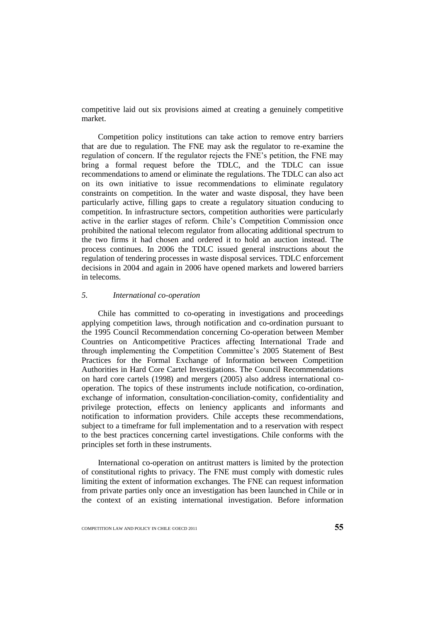competitive laid out six provisions aimed at creating a genuinely competitive market.

Competition policy institutions can take action to remove entry barriers that are due to regulation. The FNE may ask the regulator to re-examine the regulation of concern. If the regulator rejects the FNE"s petition, the FNE may bring a formal request before the TDLC, and the TDLC can issue recommendations to amend or eliminate the regulations. The TDLC can also act on its own initiative to issue recommendations to eliminate regulatory constraints on competition. In the water and waste disposal, they have been particularly active, filling gaps to create a regulatory situation conducing to competition. In infrastructure sectors, competition authorities were particularly active in the earlier stages of reform. Chile"s Competition Commission once prohibited the national telecom regulator from allocating additional spectrum to the two firms it had chosen and ordered it to hold an auction instead. The process continues. In 2006 the TDLC issued general instructions about the regulation of tendering processes in waste disposal services. TDLC enforcement decisions in 2004 and again in 2006 have opened markets and lowered barriers in telecoms.

#### *5. International co-operation*

Chile has committed to co-operating in investigations and proceedings applying competition laws, through notification and co-ordination pursuant to the 1995 Council Recommendation concerning Co-operation between Member Countries on Anticompetitive Practices affecting International Trade and through implementing the Competition Committee"s 2005 Statement of Best Practices for the Formal Exchange of Information between Competition Authorities in Hard Core Cartel Investigations. The Council Recommendations on hard core cartels (1998) and mergers (2005) also address international cooperation. The topics of these instruments include notification, co-ordination, exchange of information, consultation-conciliation-comity, confidentiality and privilege protection, effects on leniency applicants and informants and notification to information providers. Chile accepts these recommendations, subject to a timeframe for full implementation and to a reservation with respect to the best practices concerning cartel investigations. Chile conforms with the principles set forth in these instruments.

International co-operation on antitrust matters is limited by the protection of constitutional rights to privacy. The FNE must comply with domestic rules limiting the extent of information exchanges. The FNE can request information from private parties only once an investigation has been launched in Chile or in the context of an existing international investigation. Before information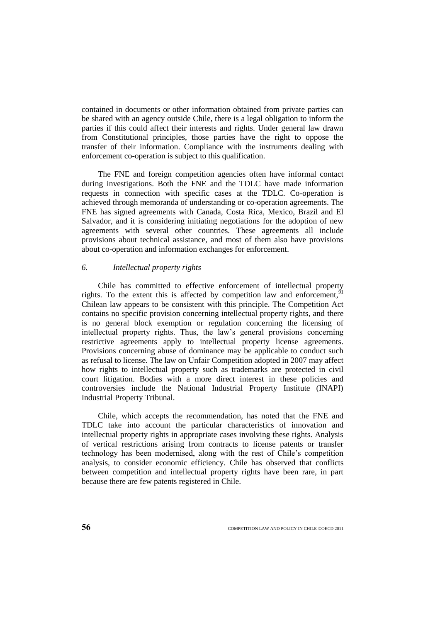contained in documents or other information obtained from private parties can be shared with an agency outside Chile, there is a legal obligation to inform the parties if this could affect their interests and rights. Under general law drawn from Constitutional principles, those parties have the right to oppose the transfer of their information. Compliance with the instruments dealing with enforcement co-operation is subject to this qualification.

The FNE and foreign competition agencies often have informal contact during investigations. Both the FNE and the TDLC have made information requests in connection with specific cases at the TDLC. Co-operation is achieved through memoranda of understanding or co-operation agreements. The FNE has signed agreements with Canada, Costa Rica, Mexico, Brazil and El Salvador, and it is considering initiating negotiations for the adoption of new agreements with several other countries. These agreements all include provisions about technical assistance, and most of them also have provisions about co-operation and information exchanges for enforcement.

#### *6. Intellectual property rights*

Chile has committed to effective enforcement of intellectual property rights. To the extent this is affected by competition law and enforcement,  $\frac{91}{1}$ Chilean law appears to be consistent with this principle. The Competition Act contains no specific provision concerning intellectual property rights, and there is no general block exemption or regulation concerning the licensing of intellectual property rights. Thus, the law"s general provisions concerning restrictive agreements apply to intellectual property license agreements. Provisions concerning abuse of dominance may be applicable to conduct such as refusal to license. The law on Unfair Competition adopted in 2007 may affect how rights to intellectual property such as trademarks are protected in civil court litigation. Bodies with a more direct interest in these policies and controversies include the National Industrial Property Institute (INAPI) Industrial Property Tribunal.

Chile, which accepts the recommendation, has noted that the FNE and TDLC take into account the particular characteristics of innovation and intellectual property rights in appropriate cases involving these rights. Analysis of vertical restrictions arising from contracts to license patents or transfer technology has been modernised, along with the rest of Chile"s competition analysis, to consider economic efficiency. Chile has observed that conflicts between competition and intellectual property rights have been rare, in part because there are few patents registered in Chile.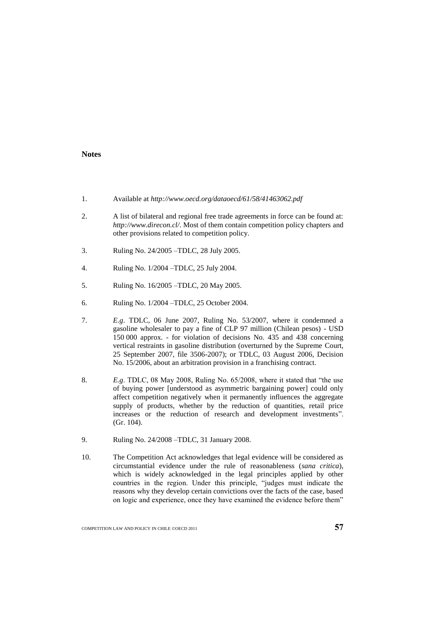#### **Notes**

- 1. Available at *<http://www.oecd.org/dataoecd/61/58/41463062.pdf>*
- 2. A list of bilateral and regional free trade agreements in force can be found at: *http://www.direcon.cl/*. Most of them contain competition policy chapters and other provisions related to competition policy.
- 3. Ruling No. 24/2005 –TDLC, 28 July 2005.
- 4. Ruling No. 1/2004 –TDLC, 25 July 2004.
- 5. Ruling No. 16/2005 –TDLC, 20 May 2005.
- 6. Ruling No. 1/2004 –TDLC, 25 October 2004.
- 7. *E.g*. TDLC, 06 June 2007, Ruling No. 53/2007, where it condemned a gasoline wholesaler to pay a fine of CLP 97 million (Chilean pesos) - USD 150 000 approx. - for violation of decisions No. 435 and 438 concerning vertical restraints in gasoline distribution (overturned by the Supreme Court, 25 September 2007, file 3506-2007); or TDLC, 03 August 2006, Decision No. 15/2006, about an arbitration provision in a franchising contract.
- 8. *E.g*. TDLC, 08 May 2008, Ruling No. 65/2008, where it stated that "the use of buying power [understood as asymmetric bargaining power] could only affect competition negatively when it permanently influences the aggregate supply of products, whether by the reduction of quantities, retail price increases or the reduction of research and development investments". (Gr. 104).
- 9. Ruling No. 24/2008 –TDLC, 31 January 2008.
- 10. The Competition Act acknowledges that legal evidence will be considered as circumstantial evidence under the rule of reasonableness (*sana critica*), which is widely acknowledged in the legal principles applied by other countries in the region. Under this principle, "judges must indicate the reasons why they develop certain convictions over the facts of the case, based on logic and experience, once they have examined the evidence before them"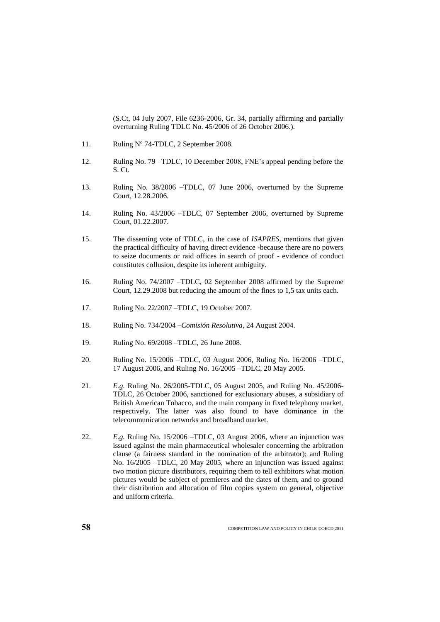(S.Ct, 04 July 2007, File 6236-2006, Gr. 34, partially affirming and partially overturning Ruling TDLC No. 45/2006 of 26 October 2006.).

- 11. Ruling N° 74-TDLC, 2 September 2008.
- 12. Ruling No. 79 –TDLC, 10 December 2008, FNE"s appeal pending before the S. Ct.
- 13. Ruling No. 38/2006 –TDLC, 07 June 2006, overturned by the Supreme Court, 12.28.2006.
- 14. Ruling No. 43/2006 –TDLC, 07 September 2006, overturned by Supreme Court, 01.22.2007.
- 15. The dissenting vote of TDLC, in the case of *ISAPRES,* mentions that given the practical difficulty of having direct evidence -because there are no powers to seize documents or raid offices in search of proof - evidence of conduct constitutes collusion, despite its inherent ambiguity.
- 16. Ruling No. 74/2007 –TDLC, 02 September 2008 affirmed by the Supreme Court, 12.29.2008 but reducing the amount of the fines to 1,5 tax units each.
- 17. Ruling No. 22/2007 –TDLC, 19 October 2007.
- 18. Ruling No. 734/2004 –*Comisión Resolutiva*, 24 August 2004.
- 19. Ruling No. 69/2008 –TDLC, 26 June 2008.
- 20. Ruling No. 15/2006 –TDLC, 03 August 2006, Ruling No. 16/2006 –TDLC, 17 August 2006, and Ruling No. 16/2005 –TDLC, 20 May 2005.
- 21. *E.g.* Ruling No. 26/2005-TDLC, 05 August 2005, and Ruling No. 45/2006- TDLC, 26 October 2006, sanctioned for exclusionary abuses, a subsidiary of British American Tobacco, and the main company in fixed telephony market, respectively. The latter was also found to have dominance in the telecommunication networks and broadband market.
- 22. *E.g.* Ruling No. 15/2006 –TDLC, 03 August 2006, where an injunction was issued against the main pharmaceutical wholesaler concerning the arbitration clause (a fairness standard in the nomination of the arbitrator); and Ruling No. 16/2005 –TDLC, 20 May 2005, where an injunction was issued against two motion picture distributors, requiring them to tell exhibitors what motion pictures would be subject of premieres and the dates of them, and to ground their distribution and allocation of film copies system on general, objective and uniform criteria.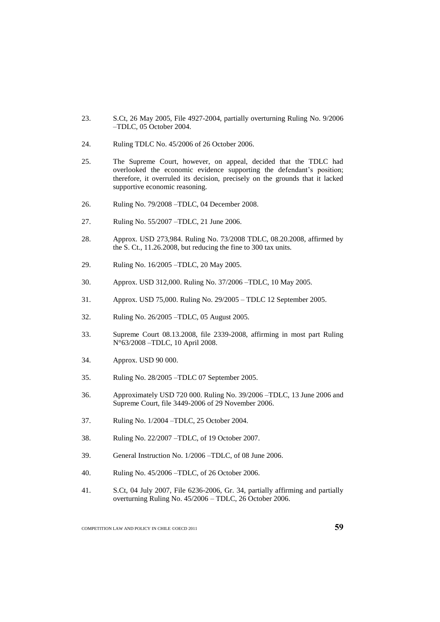- 23. S.Ct, 26 May 2005, File 4927-2004, partially overturning Ruling No. 9/2006 –TDLC, 05 October 2004.
- 24. Ruling TDLC No. 45/2006 of 26 October 2006.
- 25. The Supreme Court, however, on appeal, decided that the TDLC had overlooked the economic evidence supporting the defendant"s position; therefore, it overruled its decision, precisely on the grounds that it lacked supportive economic reasoning.
- 26. Ruling No. 79/2008 –TDLC, 04 December 2008.
- 27. Ruling No. 55/2007 –TDLC, 21 June 2006.
- 28. Approx. USD 273,984. Ruling No. 73/2008 TDLC, 08.20.2008, affirmed by the S. Ct., 11.26.2008, but reducing the fine to 300 tax units.
- 29. Ruling No. 16/2005 –TDLC, 20 May 2005.
- 30. Approx. USD 312,000. Ruling No. 37/2006 –TDLC, 10 May 2005.
- 31. Approx. USD 75,000. Ruling No. 29/2005 TDLC 12 September 2005.
- 32. Ruling No. 26/2005 –TDLC, 05 August 2005.
- 33. Supreme Court 08.13.2008, file 2339-2008, affirming in most part Ruling N°63/2008 –TDLC, 10 April 2008.
- 34. Approx. USD 90 000.
- 35. Ruling No. 28/2005 –TDLC 07 September 2005.
- 36. Approximately USD 720 000. Ruling No. 39/2006 –TDLC, 13 June 2006 and Supreme Court, file 3449-2006 of 29 November 2006.
- 37. Ruling No. 1/2004 –TDLC, 25 October 2004.
- 38. Ruling No. 22/2007 –TDLC, of 19 October 2007.
- 39. General Instruction No. 1/2006 –TDLC, of 08 June 2006.
- 40. Ruling No. 45/2006 –TDLC, of 26 October 2006.
- 41. S.Ct, 04 July 2007, File 6236-2006, Gr. 34, partially affirming and partially overturning Ruling No. 45/2006 – TDLC, 26 October 2006.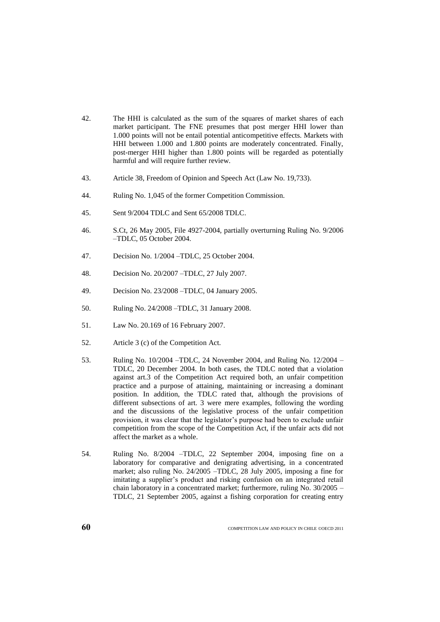- 42. The HHI is calculated as the sum of the squares of market shares of each market participant. The FNE presumes that post merger HHI lower than 1.000 points will not be entail potential anticompetitive effects. Markets with HHI between 1.000 and 1.800 points are moderately concentrated. Finally, post-merger HHI higher than 1.800 points will be regarded as potentially harmful and will require further review.
- 43. Article 38, Freedom of Opinion and Speech Act (Law No. 19,733).
- 44. Ruling No. 1,045 of the former Competition Commission.
- 45. Sent 9/2004 TDLC and Sent 65/2008 TDLC.
- 46. S.Ct, 26 May 2005, File 4927-2004, partially overturning Ruling No. 9/2006 –TDLC, 05 October 2004.
- 47. Decision No. 1/2004 –TDLC, 25 October 2004.
- 48. Decision No. 20/2007 –TDLC, 27 July 2007.
- 49. Decision No. 23/2008 –TDLC, 04 January 2005.
- 50. Ruling No. 24/2008 –TDLC, 31 January 2008.
- 51. Law No. 20.169 of 16 February 2007.
- 52. Article 3 (c) of the Competition Act.
- 53. Ruling No. 10/2004 –TDLC, 24 November 2004, and Ruling No. 12/2004 TDLC, 20 December 2004. In both cases, the TDLC noted that a violation against art.3 of the Competition Act required both, an unfair competition practice and a purpose of attaining, maintaining or increasing a dominant position. In addition, the TDLC rated that, although the provisions of different subsections of art. 3 were mere examples, following the wording and the discussions of the legislative process of the unfair competition provision, it was clear that the legislator's purpose had been to exclude unfair competition from the scope of the Competition Act, if the unfair acts did not affect the market as a whole.
- 54. Ruling No. 8/2004 –TDLC, 22 September 2004, imposing fine on a laboratory for comparative and denigrating advertising, in a concentrated market; also ruling No. 24/2005 –TDLC, 28 July 2005, imposing a fine for imitating a supplier's product and risking confusion on an integrated retail chain laboratory in a concentrated market; furthermore, ruling No. 30/2005 – TDLC, 21 September 2005, against a fishing corporation for creating entry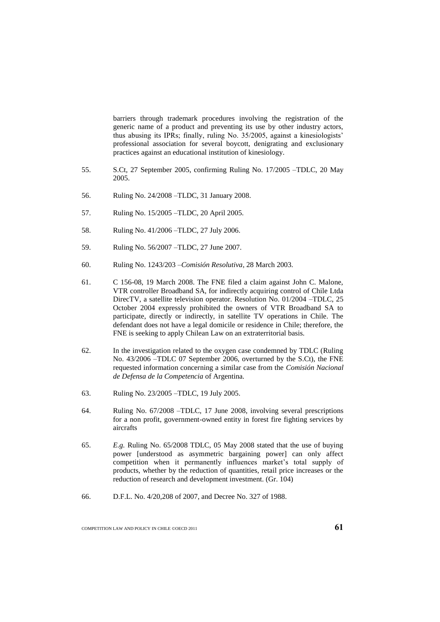barriers through trademark procedures involving the registration of the generic name of a product and preventing its use by other industry actors, thus abusing its IPRs; finally, ruling No. 35/2005, against a kinesiologists" professional association for several boycott, denigrating and exclusionary practices against an educational institution of kinesiology.

- 55. S.Ct, 27 September 2005, confirming Ruling No. 17/2005 –TDLC, 20 May 2005.
- 56. Ruling No. 24/2008 –TLDC, 31 January 2008.
- 57. Ruling No. 15/2005 –TLDC, 20 April 2005.
- 58. Ruling No. 41/2006 –TLDC, 27 July 2006.
- 59. Ruling No. 56/2007 –TLDC, 27 June 2007.
- 60. Ruling No. 1243/203 –*Comisión Resolutiva*, 28 March 2003.
- 61. C 156-08, 19 March 2008. The FNE filed a claim against John C. Malone, VTR controller Broadband SA, for indirectly acquiring control of Chile Ltda DirecTV, a satellite television operator. Resolution No. 01/2004 –TDLC, 25 October 2004 expressly prohibited the owners of VTR Broadband SA to participate, directly or indirectly, in satellite TV operations in Chile. The defendant does not have a legal domicile or residence in Chile; therefore, the FNE is seeking to apply Chilean Law on an extraterritorial basis.
- 62. In the investigation related to the oxygen case condemned by TDLC (Ruling No. 43/2006 –TDLC 07 September 2006, overturned by the S.Ct), the FNE requested information concerning a similar case from the *Comisión Nacional de Defensa de la Competencia* of Argentina.
- 63. Ruling No. 23/2005 –TDLC, 19 July 2005.
- 64. Ruling No. 67/2008 –TDLC, 17 June 2008, involving several prescriptions for a non profit, government-owned entity in forest fire fighting services by aircrafts
- 65. *E.g.* Ruling No. 65/2008 TDLC, 05 May 2008 stated that the use of buying power [understood as asymmetric bargaining power] can only affect competition when it permanently influences market's total supply of products, whether by the reduction of quantities, retail price increases or the reduction of research and development investment. (Gr. 104)
- 66. D.F.L. No. 4/20,208 of 2007, and Decree No. 327 of 1988.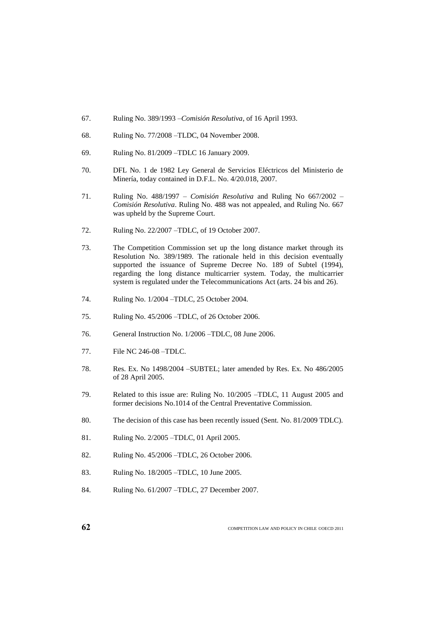- 67. Ruling No. 389/1993 –*Comisión Resolutiva*, of 16 April 1993.
- 68. Ruling No. 77/2008 –TLDC, 04 November 2008.
- 69. Ruling No. 81/2009 –TDLC 16 January 2009.
- 70. DFL No. 1 de 1982 Ley General de Servicios Eléctricos del Ministerio de Minería, today contained in D.F.L. No. 4/20.018, 2007.
- 71. Ruling No. 488/1997 *Comisión Resolutiva* and Ruling No 667/2002 *Comisión Resolutiva*. Ruling No. 488 was not appealed, and Ruling No. 667 was upheld by the Supreme Court.
- 72. Ruling No. 22/2007 –TDLC, of 19 October 2007.
- 73. The Competition Commission set up the long distance market through its Resolution No. 389/1989. The rationale held in this decision eventually supported the issuance of Supreme Decree No. 189 of Subtel (1994), regarding the long distance multicarrier system. Today, the multicarrier system is regulated under the Telecommunications Act (arts. 24 bis and 26).
- 74. Ruling No. 1/2004 –TDLC, 25 October 2004.
- 75. Ruling No. 45/2006 –TDLC, of 26 October 2006.
- 76. General Instruction No. 1/2006 –TDLC, 08 June 2006.
- 77. File NC 246-08 –TDLC.
- 78. Res. Ex. No 1498/2004 –SUBTEL; later amended by Res. Ex. No 486/2005 of 28 April 2005.
- 79. Related to this issue are: Ruling No. 10/2005 –TDLC, 11 August 2005 and former decisions No.1014 of the Central Preventative Commission.
- 80. The decision of this case has been recently issued (Sent. No. 81/2009 TDLC).
- 81. Ruling No. 2/2005 –TDLC, 01 April 2005.
- 82. Ruling No. 45/2006 –TDLC, 26 October 2006.
- 83. Ruling No. 18/2005 –TDLC, 10 June 2005.
- 84. Ruling No. 61/2007 –TDLC, 27 December 2007.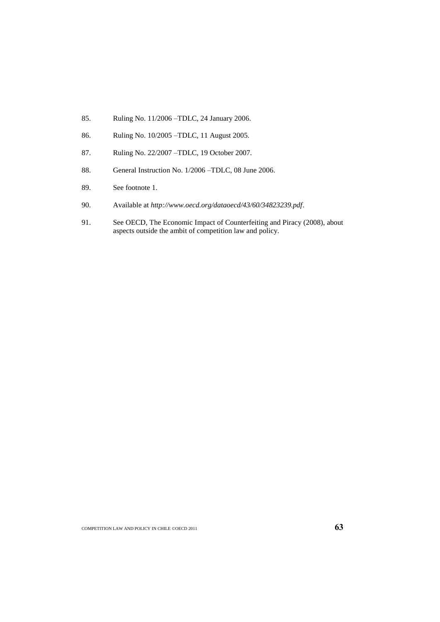- 85. Ruling No. 11/2006 –TDLC, 24 January 2006.
- 86. Ruling No. 10/2005 –TDLC, 11 August 2005.
- 87. Ruling No. 22/2007 –TDLC, 19 October 2007.
- 88. General Instruction No. 1/2006 –TDLC, 08 June 2006.
- 89. See footnote 1.
- 90. Available at *<http://www.oecd.org/dataoecd/43/60/34823239.pdf>*.
- 91. See OECD, The Economic Impact of Counterfeiting and Piracy (2008), about aspects outside the ambit of competition law and policy.